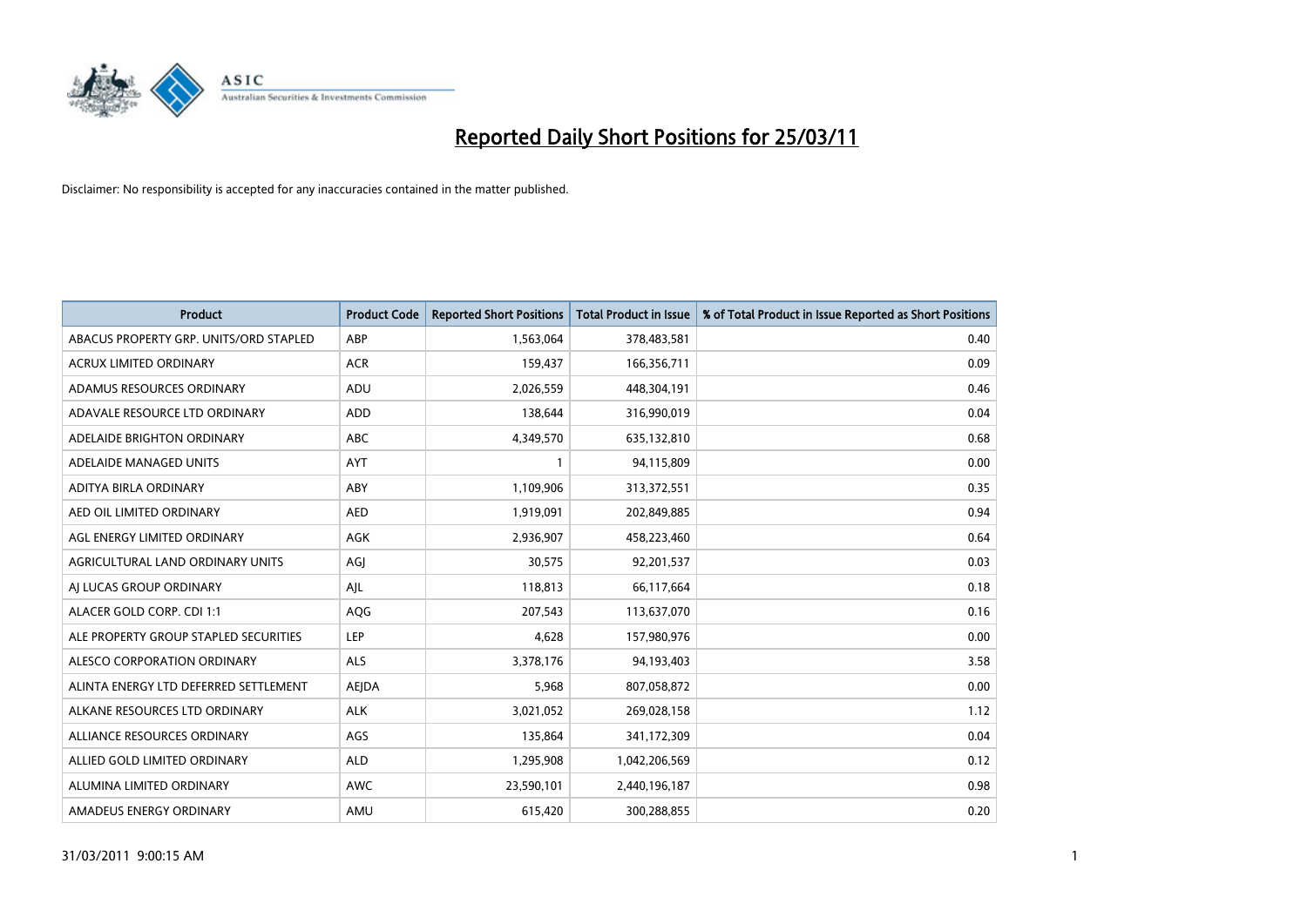

| Product                                | <b>Product Code</b> | <b>Reported Short Positions</b> | <b>Total Product in Issue</b> | % of Total Product in Issue Reported as Short Positions |
|----------------------------------------|---------------------|---------------------------------|-------------------------------|---------------------------------------------------------|
| ABACUS PROPERTY GRP. UNITS/ORD STAPLED | ABP                 | 1,563,064                       | 378,483,581                   | 0.40                                                    |
| <b>ACRUX LIMITED ORDINARY</b>          | <b>ACR</b>          | 159,437                         | 166,356,711                   | 0.09                                                    |
| ADAMUS RESOURCES ORDINARY              | ADU                 | 2,026,559                       | 448,304,191                   | 0.46                                                    |
| ADAVALE RESOURCE LTD ORDINARY          | <b>ADD</b>          | 138,644                         | 316,990,019                   | 0.04                                                    |
| ADELAIDE BRIGHTON ORDINARY             | <b>ABC</b>          | 4,349,570                       | 635,132,810                   | 0.68                                                    |
| ADELAIDE MANAGED UNITS                 | <b>AYT</b>          |                                 | 94,115,809                    | 0.00                                                    |
| ADITYA BIRLA ORDINARY                  | ABY                 | 1,109,906                       | 313,372,551                   | 0.35                                                    |
| AED OIL LIMITED ORDINARY               | <b>AED</b>          | 1,919,091                       | 202,849,885                   | 0.94                                                    |
| AGL ENERGY LIMITED ORDINARY            | <b>AGK</b>          | 2,936,907                       | 458,223,460                   | 0.64                                                    |
| AGRICULTURAL LAND ORDINARY UNITS       | AGI                 | 30,575                          | 92,201,537                    | 0.03                                                    |
| AI LUCAS GROUP ORDINARY                | AJL                 | 118,813                         | 66,117,664                    | 0.18                                                    |
| ALACER GOLD CORP. CDI 1:1              | AQG                 | 207,543                         | 113,637,070                   | 0.16                                                    |
| ALE PROPERTY GROUP STAPLED SECURITIES  | LEP                 | 4,628                           | 157,980,976                   | 0.00                                                    |
| ALESCO CORPORATION ORDINARY            | <b>ALS</b>          | 3,378,176                       | 94,193,403                    | 3.58                                                    |
| ALINTA ENERGY LTD DEFERRED SETTLEMENT  | <b>AEJDA</b>        | 5,968                           | 807,058,872                   | 0.00                                                    |
| ALKANE RESOURCES LTD ORDINARY          | <b>ALK</b>          | 3,021,052                       | 269,028,158                   | 1.12                                                    |
| ALLIANCE RESOURCES ORDINARY            | AGS                 | 135,864                         | 341,172,309                   | 0.04                                                    |
| ALLIED GOLD LIMITED ORDINARY           | <b>ALD</b>          | 1,295,908                       | 1,042,206,569                 | 0.12                                                    |
| ALUMINA LIMITED ORDINARY               | <b>AWC</b>          | 23,590,101                      | 2,440,196,187                 | 0.98                                                    |
| AMADEUS ENERGY ORDINARY                | AMU                 | 615,420                         | 300,288,855                   | 0.20                                                    |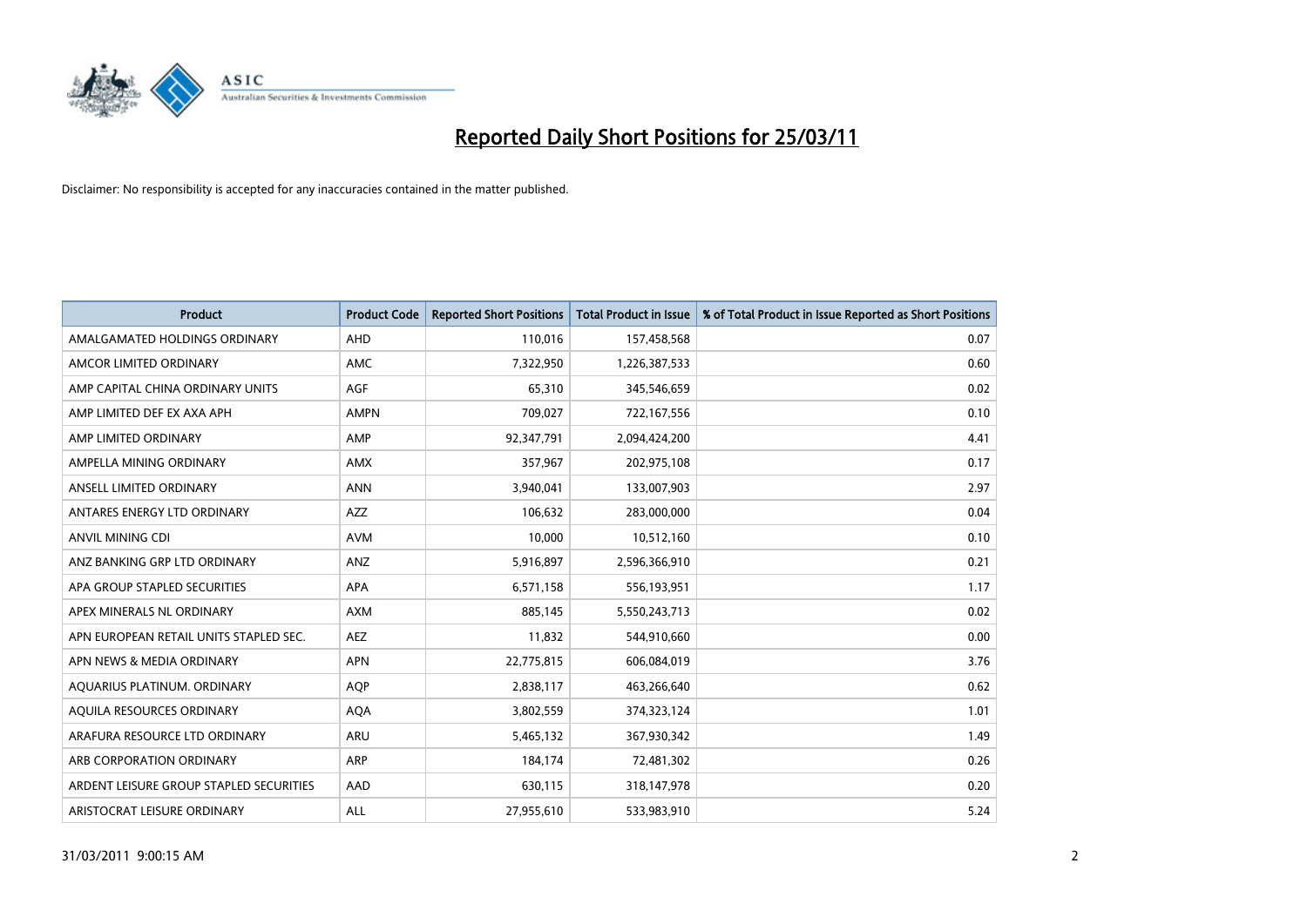

| Product                                 | <b>Product Code</b> | <b>Reported Short Positions</b> | <b>Total Product in Issue</b> | % of Total Product in Issue Reported as Short Positions |
|-----------------------------------------|---------------------|---------------------------------|-------------------------------|---------------------------------------------------------|
| AMALGAMATED HOLDINGS ORDINARY           | AHD                 | 110,016                         | 157,458,568                   | 0.07                                                    |
| AMCOR LIMITED ORDINARY                  | <b>AMC</b>          | 7,322,950                       | 1,226,387,533                 | 0.60                                                    |
| AMP CAPITAL CHINA ORDINARY UNITS        | <b>AGF</b>          | 65,310                          | 345,546,659                   | 0.02                                                    |
| AMP LIMITED DEF EX AXA APH              | <b>AMPN</b>         | 709,027                         | 722,167,556                   | 0.10                                                    |
| AMP LIMITED ORDINARY                    | AMP                 | 92,347,791                      | 2,094,424,200                 | 4.41                                                    |
| AMPELLA MINING ORDINARY                 | <b>AMX</b>          | 357,967                         | 202,975,108                   | 0.17                                                    |
| ANSELL LIMITED ORDINARY                 | <b>ANN</b>          | 3,940,041                       | 133,007,903                   | 2.97                                                    |
| ANTARES ENERGY LTD ORDINARY             | <b>AZZ</b>          | 106,632                         | 283,000,000                   | 0.04                                                    |
| ANVIL MINING CDI                        | <b>AVM</b>          | 10,000                          | 10,512,160                    | 0.10                                                    |
| ANZ BANKING GRP LTD ORDINARY            | ANZ                 | 5,916,897                       | 2,596,366,910                 | 0.21                                                    |
| APA GROUP STAPLED SECURITIES            | <b>APA</b>          | 6,571,158                       | 556,193,951                   | 1.17                                                    |
| APEX MINERALS NL ORDINARY               | <b>AXM</b>          | 885,145                         | 5,550,243,713                 | 0.02                                                    |
| APN EUROPEAN RETAIL UNITS STAPLED SEC.  | <b>AEZ</b>          | 11,832                          | 544,910,660                   | 0.00                                                    |
| APN NEWS & MEDIA ORDINARY               | <b>APN</b>          | 22,775,815                      | 606,084,019                   | 3.76                                                    |
| AQUARIUS PLATINUM. ORDINARY             | <b>AOP</b>          | 2,838,117                       | 463,266,640                   | 0.62                                                    |
| AQUILA RESOURCES ORDINARY               | <b>AQA</b>          | 3,802,559                       | 374,323,124                   | 1.01                                                    |
| ARAFURA RESOURCE LTD ORDINARY           | <b>ARU</b>          | 5,465,132                       | 367,930,342                   | 1.49                                                    |
| ARB CORPORATION ORDINARY                | ARP                 | 184,174                         | 72,481,302                    | 0.26                                                    |
| ARDENT LEISURE GROUP STAPLED SECURITIES | AAD                 | 630,115                         | 318,147,978                   | 0.20                                                    |
| ARISTOCRAT LEISURE ORDINARY             | ALL                 | 27,955,610                      | 533,983,910                   | 5.24                                                    |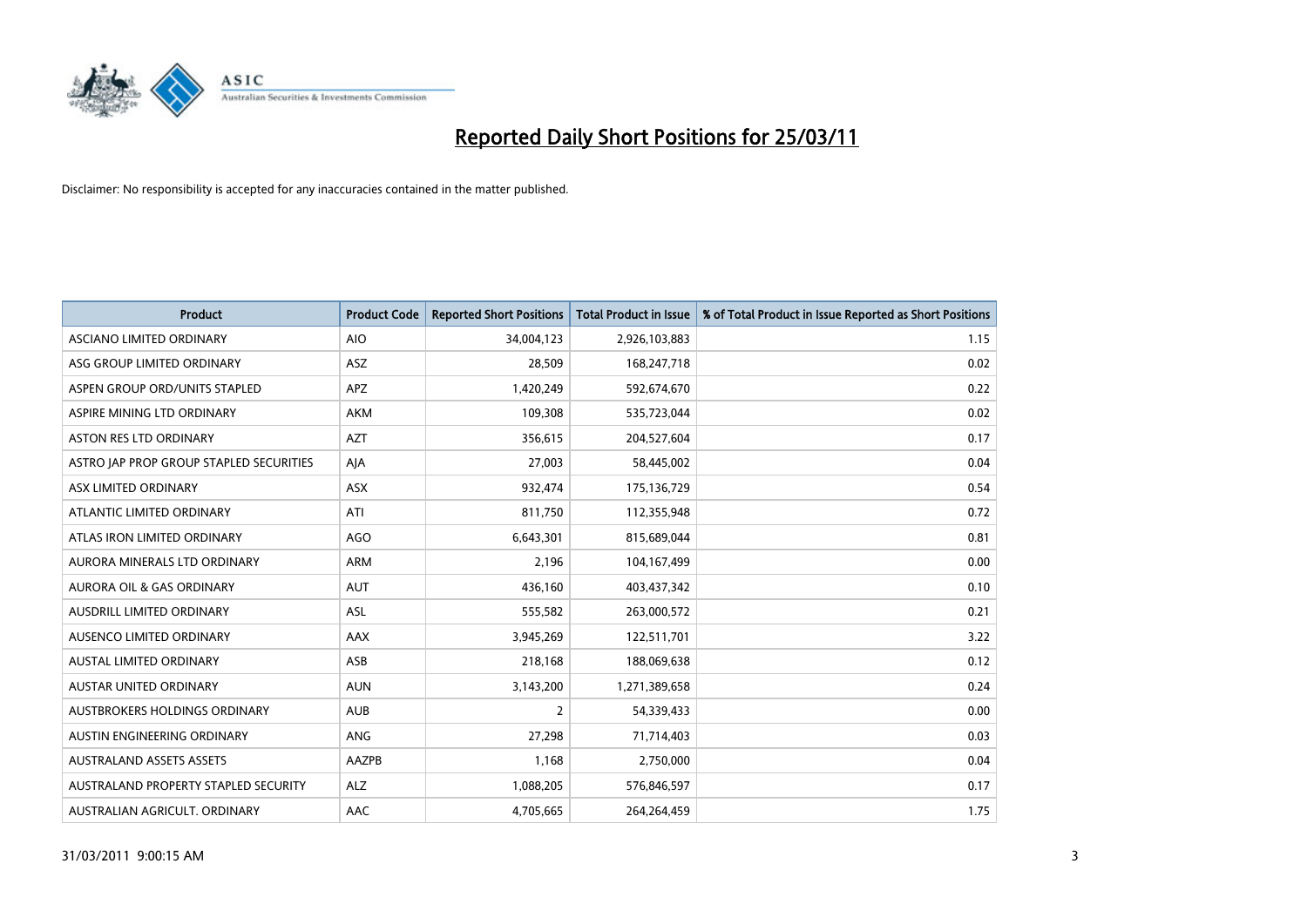

| Product                                 | <b>Product Code</b> | <b>Reported Short Positions</b> | <b>Total Product in Issue</b> | % of Total Product in Issue Reported as Short Positions |
|-----------------------------------------|---------------------|---------------------------------|-------------------------------|---------------------------------------------------------|
| ASCIANO LIMITED ORDINARY                | <b>AIO</b>          | 34,004,123                      | 2,926,103,883                 | 1.15                                                    |
| ASG GROUP LIMITED ORDINARY              | ASZ                 | 28,509                          | 168,247,718                   | 0.02                                                    |
| ASPEN GROUP ORD/UNITS STAPLED           | <b>APZ</b>          | 1,420,249                       | 592,674,670                   | 0.22                                                    |
| ASPIRE MINING LTD ORDINARY              | <b>AKM</b>          | 109,308                         | 535,723,044                   | 0.02                                                    |
| <b>ASTON RES LTD ORDINARY</b>           | <b>AZT</b>          | 356,615                         | 204,527,604                   | 0.17                                                    |
| ASTRO JAP PROP GROUP STAPLED SECURITIES | AJA                 | 27,003                          | 58,445,002                    | 0.04                                                    |
| ASX LIMITED ORDINARY                    | <b>ASX</b>          | 932,474                         | 175,136,729                   | 0.54                                                    |
| ATLANTIC LIMITED ORDINARY               | ATI                 | 811,750                         | 112,355,948                   | 0.72                                                    |
| ATLAS IRON LIMITED ORDINARY             | AGO                 | 6,643,301                       | 815,689,044                   | 0.81                                                    |
| AURORA MINERALS LTD ORDINARY            | <b>ARM</b>          | 2,196                           | 104,167,499                   | 0.00                                                    |
| AURORA OIL & GAS ORDINARY               | <b>AUT</b>          | 436,160                         | 403,437,342                   | 0.10                                                    |
| AUSDRILL LIMITED ORDINARY               | ASL                 | 555,582                         | 263,000,572                   | 0.21                                                    |
| AUSENCO LIMITED ORDINARY                | AAX                 | 3,945,269                       | 122,511,701                   | 3.22                                                    |
| <b>AUSTAL LIMITED ORDINARY</b>          | ASB                 | 218,168                         | 188,069,638                   | 0.12                                                    |
| <b>AUSTAR UNITED ORDINARY</b>           | <b>AUN</b>          | 3,143,200                       | 1,271,389,658                 | 0.24                                                    |
| AUSTBROKERS HOLDINGS ORDINARY           | <b>AUB</b>          | 2                               | 54,339,433                    | 0.00                                                    |
| AUSTIN ENGINEERING ORDINARY             | ANG                 | 27,298                          | 71,714,403                    | 0.03                                                    |
| <b>AUSTRALAND ASSETS ASSETS</b>         | AAZPB               | 1,168                           | 2,750,000                     | 0.04                                                    |
| AUSTRALAND PROPERTY STAPLED SECURITY    | <b>ALZ</b>          | 1,088,205                       | 576,846,597                   | 0.17                                                    |
| AUSTRALIAN AGRICULT. ORDINARY           | AAC                 | 4,705,665                       | 264,264,459                   | 1.75                                                    |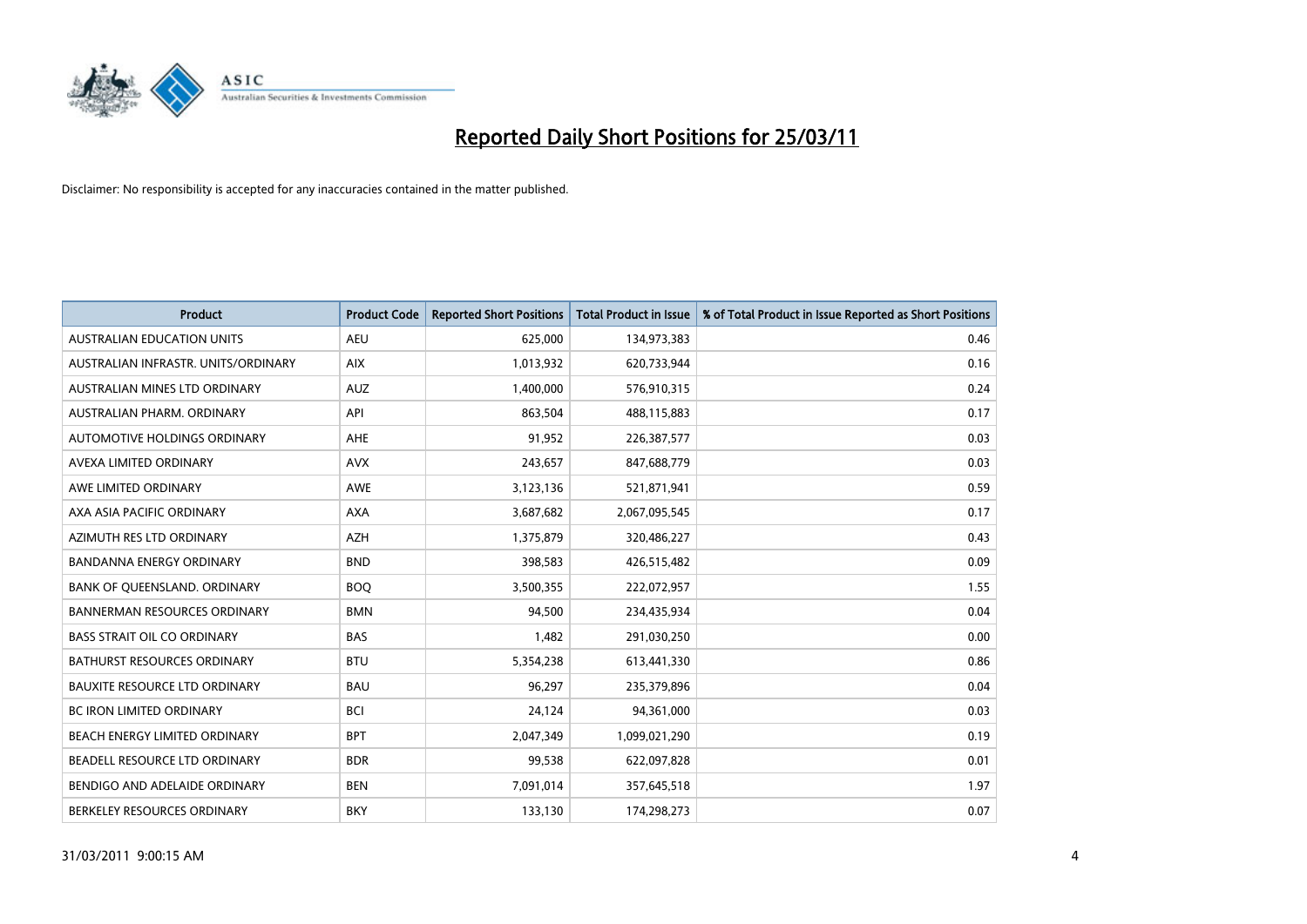

| <b>Product</b>                       | <b>Product Code</b> | <b>Reported Short Positions</b> | <b>Total Product in Issue</b> | % of Total Product in Issue Reported as Short Positions |
|--------------------------------------|---------------------|---------------------------------|-------------------------------|---------------------------------------------------------|
| <b>AUSTRALIAN EDUCATION UNITS</b>    | <b>AEU</b>          | 625,000                         | 134,973,383                   | 0.46                                                    |
| AUSTRALIAN INFRASTR, UNITS/ORDINARY  | <b>AIX</b>          | 1,013,932                       | 620,733,944                   | 0.16                                                    |
| AUSTRALIAN MINES LTD ORDINARY        | <b>AUZ</b>          | 1,400,000                       | 576,910,315                   | 0.24                                                    |
| AUSTRALIAN PHARM. ORDINARY           | API                 | 863,504                         | 488,115,883                   | 0.17                                                    |
| AUTOMOTIVE HOLDINGS ORDINARY         | <b>AHE</b>          | 91,952                          | 226,387,577                   | 0.03                                                    |
| AVEXA LIMITED ORDINARY               | <b>AVX</b>          | 243,657                         | 847,688,779                   | 0.03                                                    |
| AWE LIMITED ORDINARY                 | <b>AWE</b>          | 3,123,136                       | 521,871,941                   | 0.59                                                    |
| AXA ASIA PACIFIC ORDINARY            | <b>AXA</b>          | 3,687,682                       | 2,067,095,545                 | 0.17                                                    |
| AZIMUTH RES LTD ORDINARY             | <b>AZH</b>          | 1,375,879                       | 320,486,227                   | 0.43                                                    |
| <b>BANDANNA ENERGY ORDINARY</b>      | <b>BND</b>          | 398,583                         | 426,515,482                   | 0.09                                                    |
| BANK OF QUEENSLAND. ORDINARY         | <b>BOQ</b>          | 3,500,355                       | 222,072,957                   | 1.55                                                    |
| <b>BANNERMAN RESOURCES ORDINARY</b>  | <b>BMN</b>          | 94,500                          | 234,435,934                   | 0.04                                                    |
| <b>BASS STRAIT OIL CO ORDINARY</b>   | <b>BAS</b>          | 1,482                           | 291,030,250                   | 0.00                                                    |
| <b>BATHURST RESOURCES ORDINARY</b>   | <b>BTU</b>          | 5,354,238                       | 613,441,330                   | 0.86                                                    |
| <b>BAUXITE RESOURCE LTD ORDINARY</b> | <b>BAU</b>          | 96,297                          | 235,379,896                   | 0.04                                                    |
| <b>BC IRON LIMITED ORDINARY</b>      | <b>BCI</b>          | 24,124                          | 94,361,000                    | 0.03                                                    |
| <b>BEACH ENERGY LIMITED ORDINARY</b> | <b>BPT</b>          | 2,047,349                       | 1,099,021,290                 | 0.19                                                    |
| BEADELL RESOURCE LTD ORDINARY        | <b>BDR</b>          | 99,538                          | 622,097,828                   | 0.01                                                    |
| BENDIGO AND ADELAIDE ORDINARY        | <b>BEN</b>          | 7,091,014                       | 357,645,518                   | 1.97                                                    |
| BERKELEY RESOURCES ORDINARY          | <b>BKY</b>          | 133,130                         | 174,298,273                   | 0.07                                                    |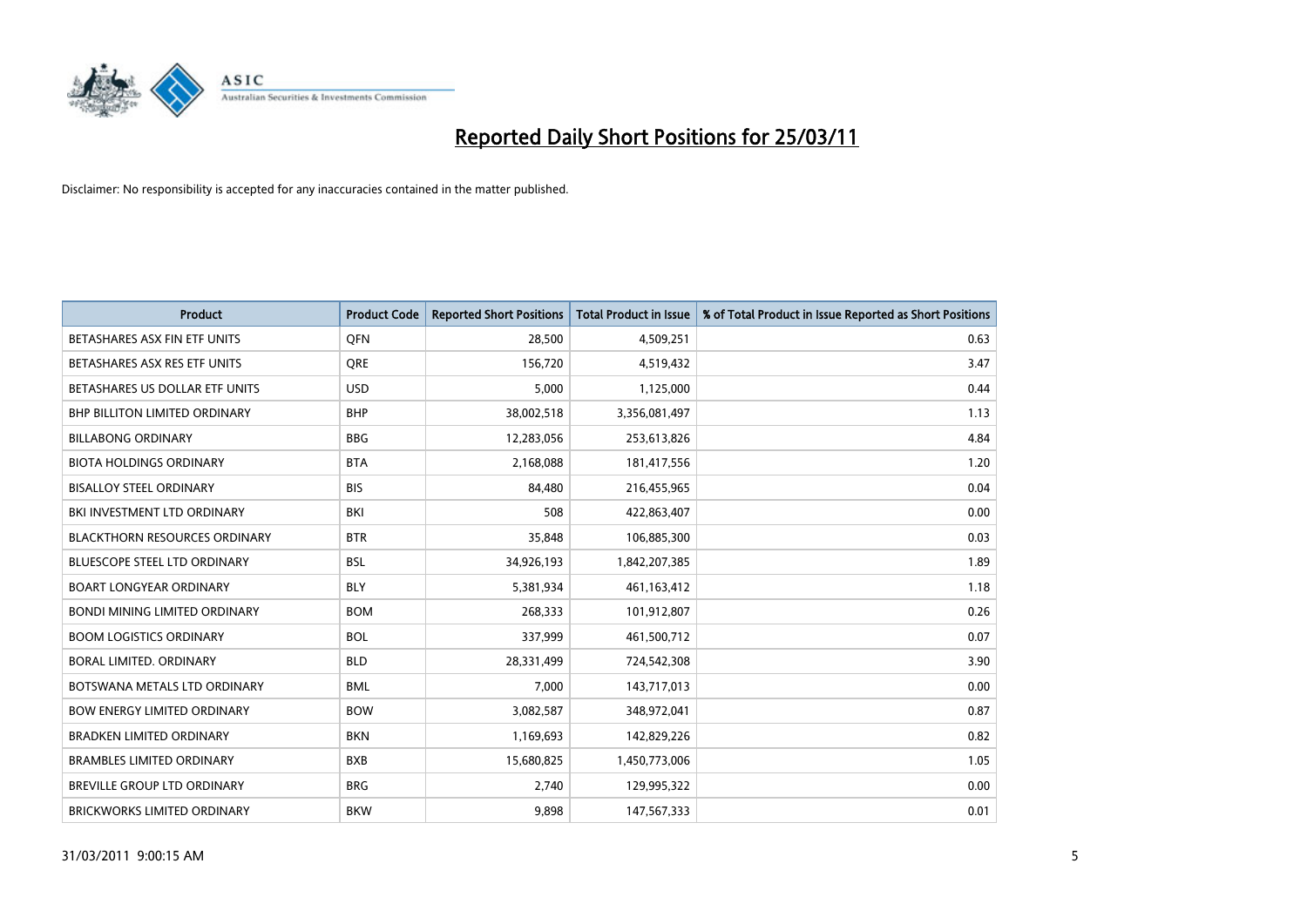

| <b>Product</b>                       | <b>Product Code</b> | <b>Reported Short Positions</b> | <b>Total Product in Issue</b> | % of Total Product in Issue Reported as Short Positions |
|--------------------------------------|---------------------|---------------------------------|-------------------------------|---------------------------------------------------------|
| BETASHARES ASX FIN ETF UNITS         | <b>OFN</b>          | 28,500                          | 4,509,251                     | 0.63                                                    |
| BETASHARES ASX RES ETF UNITS         | <b>ORE</b>          | 156,720                         | 4,519,432                     | 3.47                                                    |
| BETASHARES US DOLLAR ETF UNITS       | <b>USD</b>          | 5,000                           | 1,125,000                     | 0.44                                                    |
| BHP BILLITON LIMITED ORDINARY        | <b>BHP</b>          | 38,002,518                      | 3,356,081,497                 | 1.13                                                    |
| <b>BILLABONG ORDINARY</b>            | <b>BBG</b>          | 12,283,056                      | 253,613,826                   | 4.84                                                    |
| <b>BIOTA HOLDINGS ORDINARY</b>       | <b>BTA</b>          | 2,168,088                       | 181,417,556                   | 1.20                                                    |
| <b>BISALLOY STEEL ORDINARY</b>       | <b>BIS</b>          | 84.480                          | 216,455,965                   | 0.04                                                    |
| BKI INVESTMENT LTD ORDINARY          | <b>BKI</b>          | 508                             | 422,863,407                   | 0.00                                                    |
| <b>BLACKTHORN RESOURCES ORDINARY</b> | <b>BTR</b>          | 35,848                          | 106,885,300                   | 0.03                                                    |
| <b>BLUESCOPE STEEL LTD ORDINARY</b>  | <b>BSL</b>          | 34,926,193                      | 1,842,207,385                 | 1.89                                                    |
| <b>BOART LONGYEAR ORDINARY</b>       | <b>BLY</b>          | 5,381,934                       | 461,163,412                   | 1.18                                                    |
| <b>BONDI MINING LIMITED ORDINARY</b> | <b>BOM</b>          | 268,333                         | 101,912,807                   | 0.26                                                    |
| <b>BOOM LOGISTICS ORDINARY</b>       | <b>BOL</b>          | 337,999                         | 461,500,712                   | 0.07                                                    |
| BORAL LIMITED, ORDINARY              | <b>BLD</b>          | 28,331,499                      | 724,542,308                   | 3.90                                                    |
| BOTSWANA METALS LTD ORDINARY         | <b>BML</b>          | 7,000                           | 143,717,013                   | 0.00                                                    |
| <b>BOW ENERGY LIMITED ORDINARY</b>   | <b>BOW</b>          | 3,082,587                       | 348,972,041                   | 0.87                                                    |
| <b>BRADKEN LIMITED ORDINARY</b>      | <b>BKN</b>          | 1,169,693                       | 142,829,226                   | 0.82                                                    |
| <b>BRAMBLES LIMITED ORDINARY</b>     | <b>BXB</b>          | 15,680,825                      | 1,450,773,006                 | 1.05                                                    |
| <b>BREVILLE GROUP LTD ORDINARY</b>   | <b>BRG</b>          | 2,740                           | 129,995,322                   | 0.00                                                    |
| <b>BRICKWORKS LIMITED ORDINARY</b>   | <b>BKW</b>          | 9.898                           | 147,567,333                   | 0.01                                                    |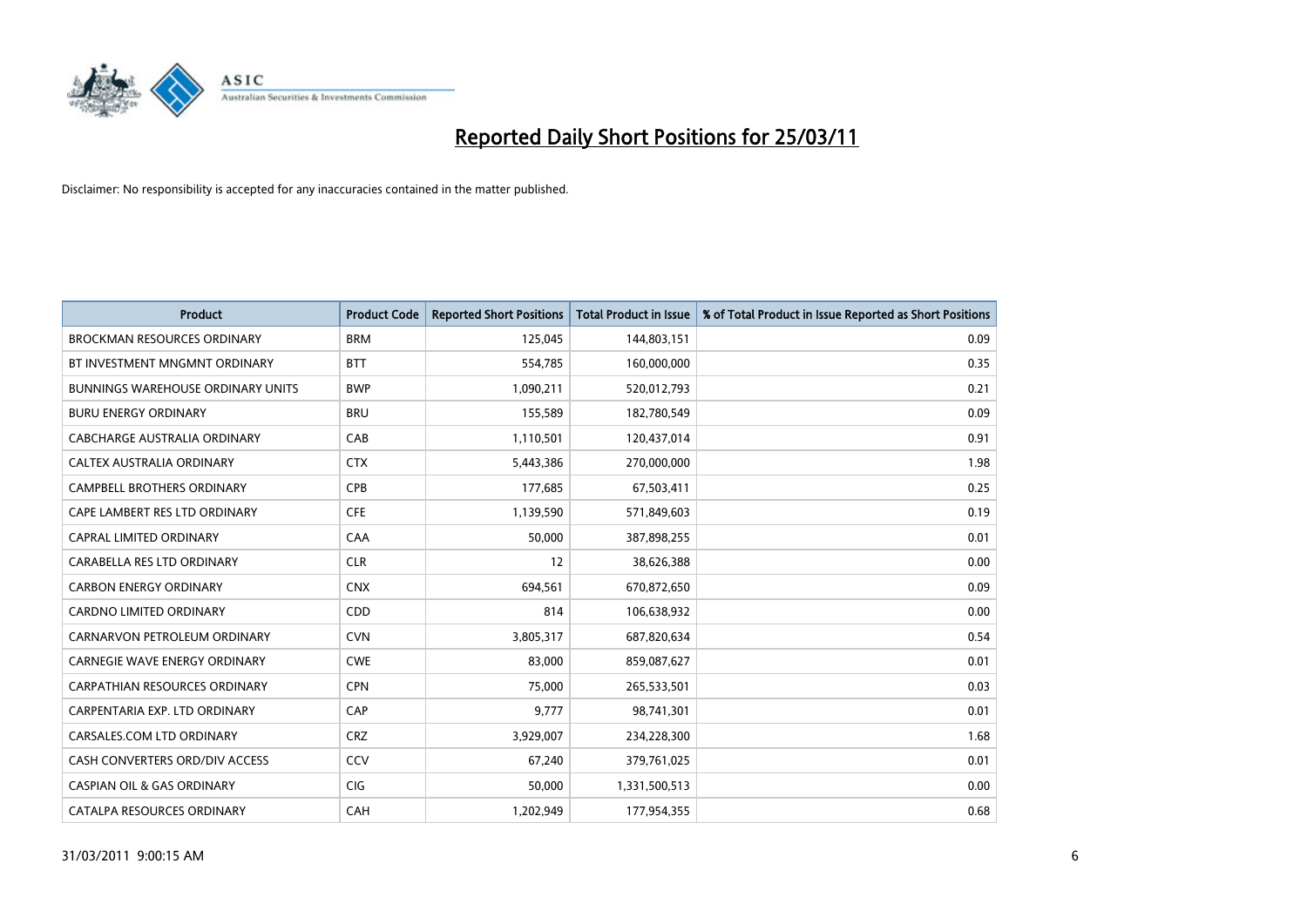

| <b>Product</b>                           | <b>Product Code</b> | <b>Reported Short Positions</b> | <b>Total Product in Issue</b> | % of Total Product in Issue Reported as Short Positions |
|------------------------------------------|---------------------|---------------------------------|-------------------------------|---------------------------------------------------------|
| <b>BROCKMAN RESOURCES ORDINARY</b>       | <b>BRM</b>          | 125,045                         | 144,803,151                   | 0.09                                                    |
| BT INVESTMENT MNGMNT ORDINARY            | <b>BTT</b>          | 554,785                         | 160,000,000                   | 0.35                                                    |
| <b>BUNNINGS WAREHOUSE ORDINARY UNITS</b> | <b>BWP</b>          | 1,090,211                       | 520,012,793                   | 0.21                                                    |
| <b>BURU ENERGY ORDINARY</b>              | <b>BRU</b>          | 155,589                         | 182,780,549                   | 0.09                                                    |
| CABCHARGE AUSTRALIA ORDINARY             | CAB                 | 1,110,501                       | 120,437,014                   | 0.91                                                    |
| CALTEX AUSTRALIA ORDINARY                | <b>CTX</b>          | 5,443,386                       | 270,000,000                   | 1.98                                                    |
| <b>CAMPBELL BROTHERS ORDINARY</b>        | CPB                 | 177,685                         | 67,503,411                    | 0.25                                                    |
| CAPE LAMBERT RES LTD ORDINARY            | <b>CFE</b>          | 1,139,590                       | 571,849,603                   | 0.19                                                    |
| CAPRAL LIMITED ORDINARY                  | CAA                 | 50,000                          | 387,898,255                   | 0.01                                                    |
| CARABELLA RES LTD ORDINARY               | <b>CLR</b>          | 12                              | 38,626,388                    | 0.00                                                    |
| <b>CARBON ENERGY ORDINARY</b>            | <b>CNX</b>          | 694,561                         | 670,872,650                   | 0.09                                                    |
| <b>CARDNO LIMITED ORDINARY</b>           | CDD                 | 814                             | 106,638,932                   | 0.00                                                    |
| CARNARVON PETROLEUM ORDINARY             | <b>CVN</b>          | 3,805,317                       | 687,820,634                   | 0.54                                                    |
| <b>CARNEGIE WAVE ENERGY ORDINARY</b>     | <b>CWE</b>          | 83,000                          | 859,087,627                   | 0.01                                                    |
| <b>CARPATHIAN RESOURCES ORDINARY</b>     | <b>CPN</b>          | 75,000                          | 265,533,501                   | 0.03                                                    |
| CARPENTARIA EXP. LTD ORDINARY            | CAP                 | 9,777                           | 98,741,301                    | 0.01                                                    |
| CARSALES.COM LTD ORDINARY                | <b>CRZ</b>          | 3,929,007                       | 234,228,300                   | 1.68                                                    |
| CASH CONVERTERS ORD/DIV ACCESS           | CCV                 | 67,240                          | 379,761,025                   | 0.01                                                    |
| <b>CASPIAN OIL &amp; GAS ORDINARY</b>    | <b>CIG</b>          | 50,000                          | 1,331,500,513                 | 0.00                                                    |
| CATALPA RESOURCES ORDINARY               | CAH                 | 1,202,949                       | 177,954,355                   | 0.68                                                    |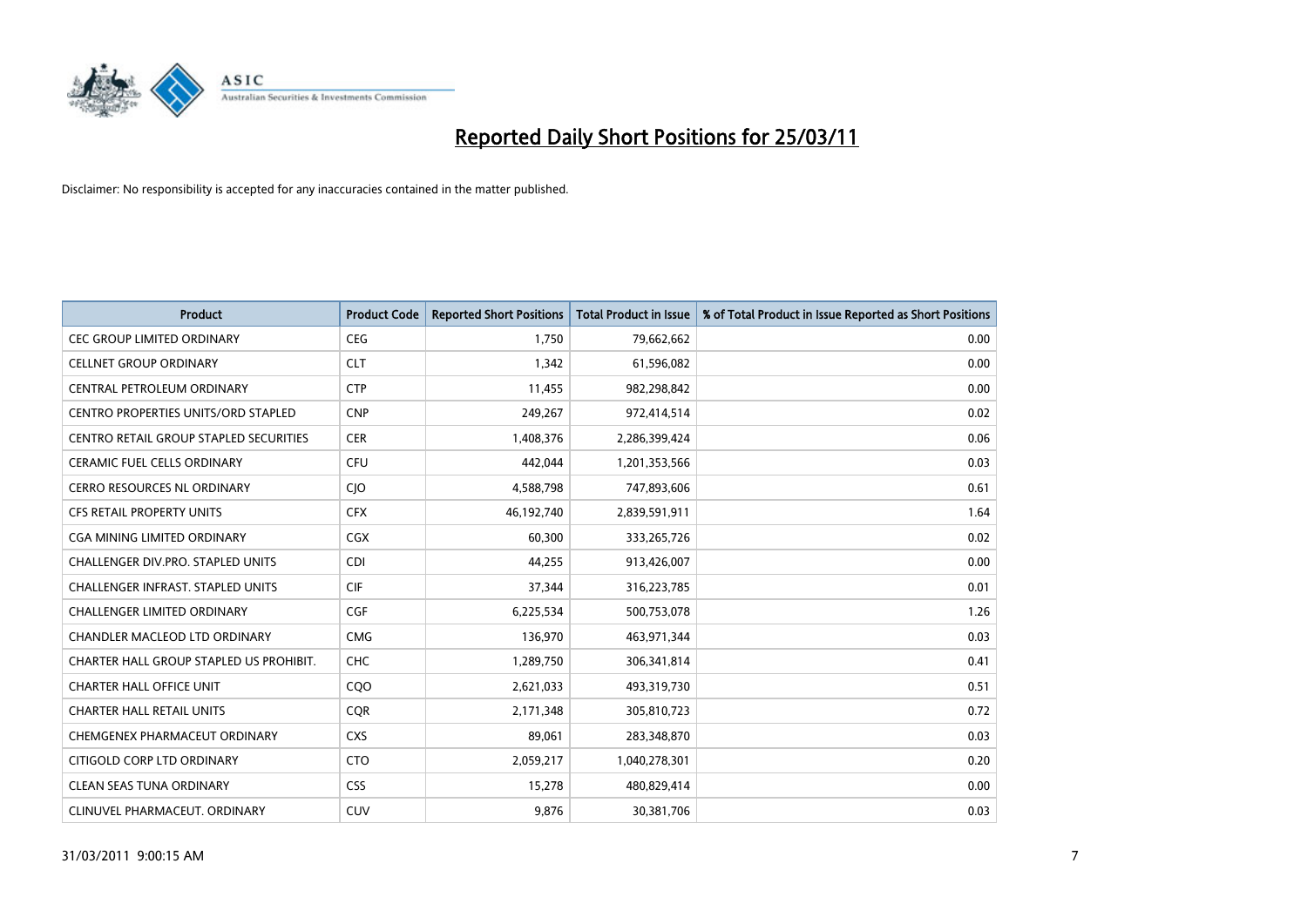

| <b>Product</b>                                | <b>Product Code</b> | <b>Reported Short Positions</b> | Total Product in Issue | % of Total Product in Issue Reported as Short Positions |
|-----------------------------------------------|---------------------|---------------------------------|------------------------|---------------------------------------------------------|
| <b>CEC GROUP LIMITED ORDINARY</b>             | <b>CEG</b>          | 1,750                           | 79,662,662             | 0.00                                                    |
| <b>CELLNET GROUP ORDINARY</b>                 | <b>CLT</b>          | 1.342                           | 61,596,082             | 0.00                                                    |
| CENTRAL PETROLEUM ORDINARY                    | <b>CTP</b>          | 11,455                          | 982,298,842            | 0.00                                                    |
| CENTRO PROPERTIES UNITS/ORD STAPLED           | <b>CNP</b>          | 249,267                         | 972,414,514            | 0.02                                                    |
| <b>CENTRO RETAIL GROUP STAPLED SECURITIES</b> | <b>CER</b>          | 1,408,376                       | 2,286,399,424          | 0.06                                                    |
| <b>CERAMIC FUEL CELLS ORDINARY</b>            | <b>CFU</b>          | 442.044                         | 1,201,353,566          | 0.03                                                    |
| <b>CERRO RESOURCES NL ORDINARY</b>            | <b>CIO</b>          | 4,588,798                       | 747,893,606            | 0.61                                                    |
| <b>CFS RETAIL PROPERTY UNITS</b>              | <b>CFX</b>          | 46,192,740                      | 2,839,591,911          | 1.64                                                    |
| CGA MINING LIMITED ORDINARY                   | <b>CGX</b>          | 60,300                          | 333,265,726            | 0.02                                                    |
| <b>CHALLENGER DIV.PRO. STAPLED UNITS</b>      | <b>CDI</b>          | 44,255                          | 913,426,007            | 0.00                                                    |
| <b>CHALLENGER INFRAST, STAPLED UNITS</b>      | <b>CIF</b>          | 37,344                          | 316,223,785            | 0.01                                                    |
| <b>CHALLENGER LIMITED ORDINARY</b>            | <b>CGF</b>          | 6,225,534                       | 500,753,078            | 1.26                                                    |
| <b>CHANDLER MACLEOD LTD ORDINARY</b>          | <b>CMG</b>          | 136,970                         | 463,971,344            | 0.03                                                    |
| CHARTER HALL GROUP STAPLED US PROHIBIT.       | <b>CHC</b>          | 1,289,750                       | 306,341,814            | 0.41                                                    |
| <b>CHARTER HALL OFFICE UNIT</b>               | CQ <sub>O</sub>     | 2,621,033                       | 493,319,730            | 0.51                                                    |
| <b>CHARTER HALL RETAIL UNITS</b>              | <b>COR</b>          | 2,171,348                       | 305,810,723            | 0.72                                                    |
| CHEMGENEX PHARMACEUT ORDINARY                 | <b>CXS</b>          | 89,061                          | 283,348,870            | 0.03                                                    |
| CITIGOLD CORP LTD ORDINARY                    | <b>CTO</b>          | 2,059,217                       | 1,040,278,301          | 0.20                                                    |
| <b>CLEAN SEAS TUNA ORDINARY</b>               | <b>CSS</b>          | 15,278                          | 480,829,414            | 0.00                                                    |
| CLINUVEL PHARMACEUT, ORDINARY                 | <b>CUV</b>          | 9.876                           | 30,381,706             | 0.03                                                    |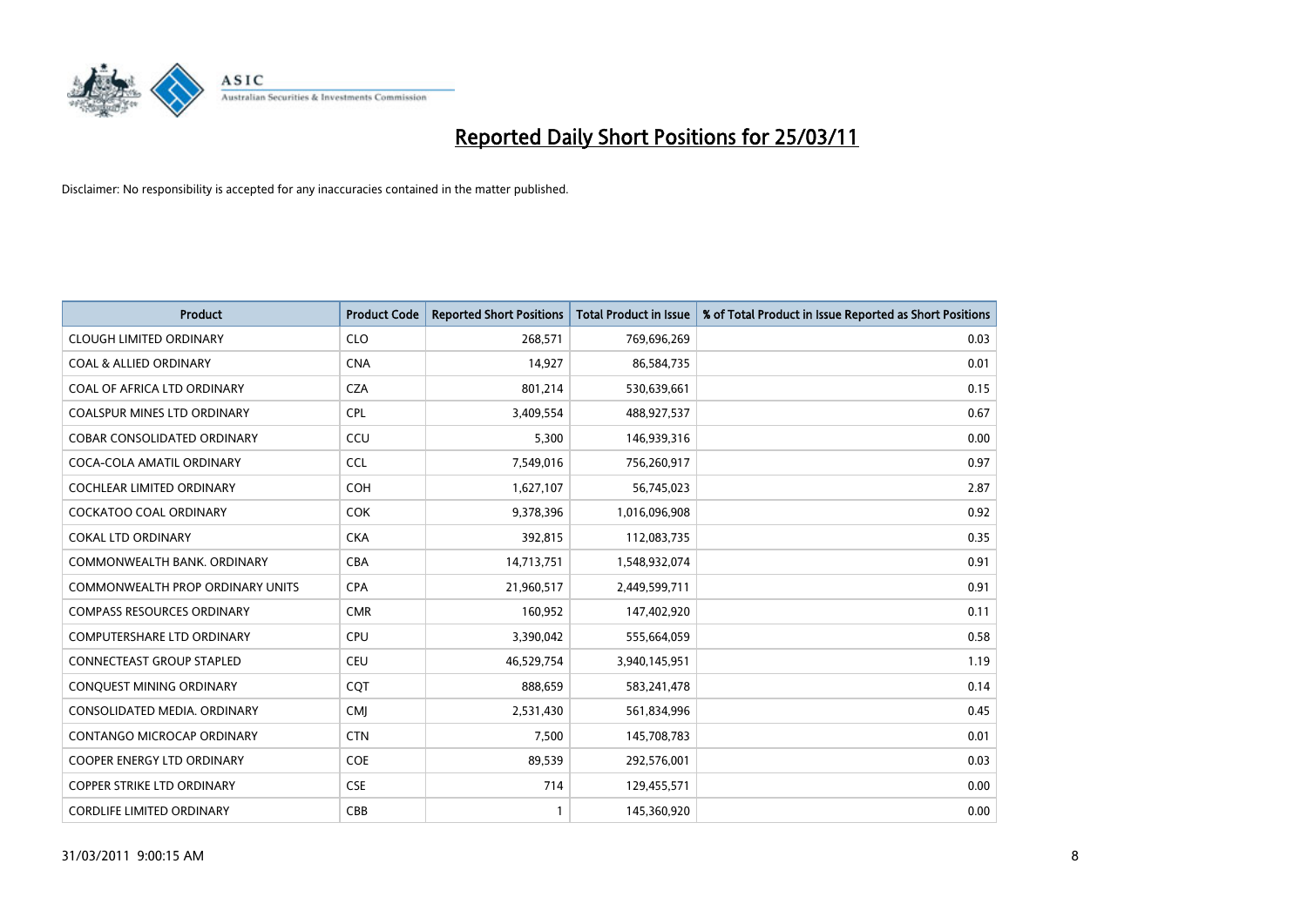

| Product                                 | <b>Product Code</b> | <b>Reported Short Positions</b> | <b>Total Product in Issue</b> | % of Total Product in Issue Reported as Short Positions |
|-----------------------------------------|---------------------|---------------------------------|-------------------------------|---------------------------------------------------------|
| <b>CLOUGH LIMITED ORDINARY</b>          | <b>CLO</b>          | 268,571                         | 769,696,269                   | 0.03                                                    |
| <b>COAL &amp; ALLIED ORDINARY</b>       | <b>CNA</b>          | 14,927                          | 86,584,735                    | 0.01                                                    |
| COAL OF AFRICA LTD ORDINARY             | <b>CZA</b>          | 801,214                         | 530,639,661                   | 0.15                                                    |
| COALSPUR MINES LTD ORDINARY             | <b>CPL</b>          | 3,409,554                       | 488,927,537                   | 0.67                                                    |
| <b>COBAR CONSOLIDATED ORDINARY</b>      | CCU                 | 5,300                           | 146,939,316                   | 0.00                                                    |
| COCA-COLA AMATIL ORDINARY               | <b>CCL</b>          | 7,549,016                       | 756,260,917                   | 0.97                                                    |
| <b>COCHLEAR LIMITED ORDINARY</b>        | <b>COH</b>          | 1,627,107                       | 56,745,023                    | 2.87                                                    |
| <b>COCKATOO COAL ORDINARY</b>           | <b>COK</b>          | 9,378,396                       | 1,016,096,908                 | 0.92                                                    |
| <b>COKAL LTD ORDINARY</b>               | <b>CKA</b>          | 392,815                         | 112,083,735                   | 0.35                                                    |
| COMMONWEALTH BANK, ORDINARY             | <b>CBA</b>          | 14,713,751                      | 1,548,932,074                 | 0.91                                                    |
| <b>COMMONWEALTH PROP ORDINARY UNITS</b> | <b>CPA</b>          | 21,960,517                      | 2,449,599,711                 | 0.91                                                    |
| <b>COMPASS RESOURCES ORDINARY</b>       | <b>CMR</b>          | 160,952                         | 147,402,920                   | 0.11                                                    |
| <b>COMPUTERSHARE LTD ORDINARY</b>       | <b>CPU</b>          | 3,390,042                       | 555,664,059                   | 0.58                                                    |
| <b>CONNECTEAST GROUP STAPLED</b>        | <b>CEU</b>          | 46,529,754                      | 3,940,145,951                 | 1.19                                                    |
| CONQUEST MINING ORDINARY                | <b>COT</b>          | 888,659                         | 583,241,478                   | 0.14                                                    |
| CONSOLIDATED MEDIA, ORDINARY            | CMI                 | 2,531,430                       | 561,834,996                   | 0.45                                                    |
| CONTANGO MICROCAP ORDINARY              | <b>CTN</b>          | 7,500                           | 145,708,783                   | 0.01                                                    |
| COOPER ENERGY LTD ORDINARY              | <b>COE</b>          | 89,539                          | 292,576,001                   | 0.03                                                    |
| <b>COPPER STRIKE LTD ORDINARY</b>       | <b>CSE</b>          | 714                             | 129,455,571                   | 0.00                                                    |
| <b>CORDLIFE LIMITED ORDINARY</b>        | CBB                 | 1                               | 145,360,920                   | 0.00                                                    |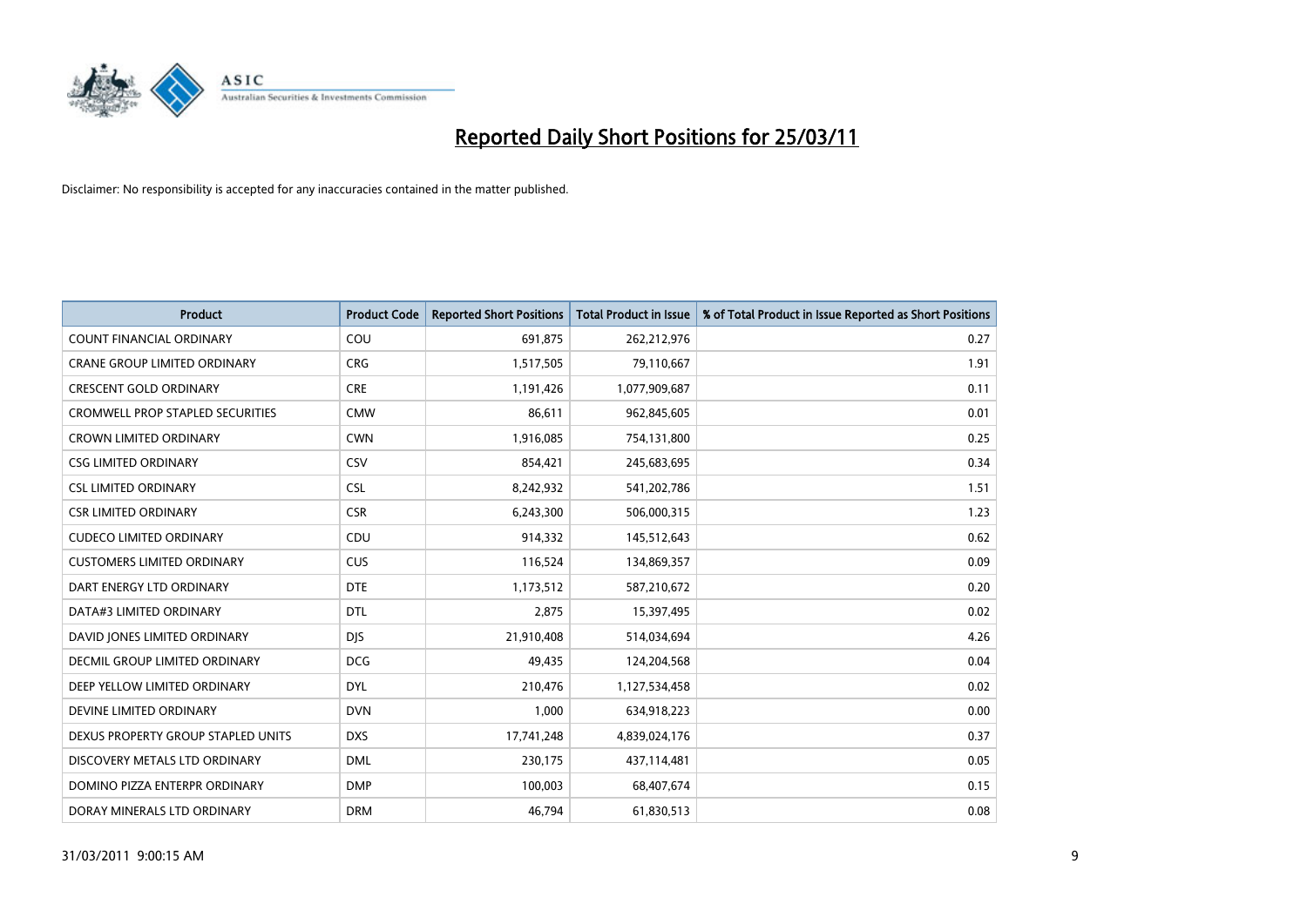

| <b>Product</b>                          | <b>Product Code</b> | <b>Reported Short Positions</b> | Total Product in Issue | % of Total Product in Issue Reported as Short Positions |
|-----------------------------------------|---------------------|---------------------------------|------------------------|---------------------------------------------------------|
| <b>COUNT FINANCIAL ORDINARY</b>         | COU                 | 691,875                         | 262,212,976            | 0.27                                                    |
| <b>CRANE GROUP LIMITED ORDINARY</b>     | <b>CRG</b>          | 1,517,505                       | 79,110,667             | 1.91                                                    |
| <b>CRESCENT GOLD ORDINARY</b>           | <b>CRE</b>          | 1,191,426                       | 1,077,909,687          | 0.11                                                    |
| <b>CROMWELL PROP STAPLED SECURITIES</b> | <b>CMW</b>          | 86,611                          | 962,845,605            | 0.01                                                    |
| <b>CROWN LIMITED ORDINARY</b>           | <b>CWN</b>          | 1,916,085                       | 754,131,800            | 0.25                                                    |
| <b>CSG LIMITED ORDINARY</b>             | <b>CSV</b>          | 854,421                         | 245,683,695            | 0.34                                                    |
| <b>CSL LIMITED ORDINARY</b>             | <b>CSL</b>          | 8,242,932                       | 541,202,786            | 1.51                                                    |
| <b>CSR LIMITED ORDINARY</b>             | <b>CSR</b>          | 6,243,300                       | 506,000,315            | 1.23                                                    |
| <b>CUDECO LIMITED ORDINARY</b>          | CDU                 | 914,332                         | 145,512,643            | 0.62                                                    |
| <b>CUSTOMERS LIMITED ORDINARY</b>       | <b>CUS</b>          | 116,524                         | 134,869,357            | 0.09                                                    |
| DART ENERGY LTD ORDINARY                | <b>DTE</b>          | 1,173,512                       | 587,210,672            | 0.20                                                    |
| DATA#3 LIMITED ORDINARY                 | <b>DTL</b>          | 2,875                           | 15,397,495             | 0.02                                                    |
| DAVID JONES LIMITED ORDINARY            | <b>DJS</b>          | 21,910,408                      | 514,034,694            | 4.26                                                    |
| <b>DECMIL GROUP LIMITED ORDINARY</b>    | <b>DCG</b>          | 49.435                          | 124,204,568            | 0.04                                                    |
| DEEP YELLOW LIMITED ORDINARY            | <b>DYL</b>          | 210,476                         | 1,127,534,458          | 0.02                                                    |
| DEVINE LIMITED ORDINARY                 | <b>DVN</b>          | 1,000                           | 634,918,223            | 0.00                                                    |
| DEXUS PROPERTY GROUP STAPLED UNITS      | <b>DXS</b>          | 17,741,248                      | 4,839,024,176          | 0.37                                                    |
| DISCOVERY METALS LTD ORDINARY           | <b>DML</b>          | 230,175                         | 437,114,481            | 0.05                                                    |
| DOMINO PIZZA ENTERPR ORDINARY           | <b>DMP</b>          | 100,003                         | 68,407,674             | 0.15                                                    |
| DORAY MINERALS LTD ORDINARY             | <b>DRM</b>          | 46.794                          | 61,830,513             | 0.08                                                    |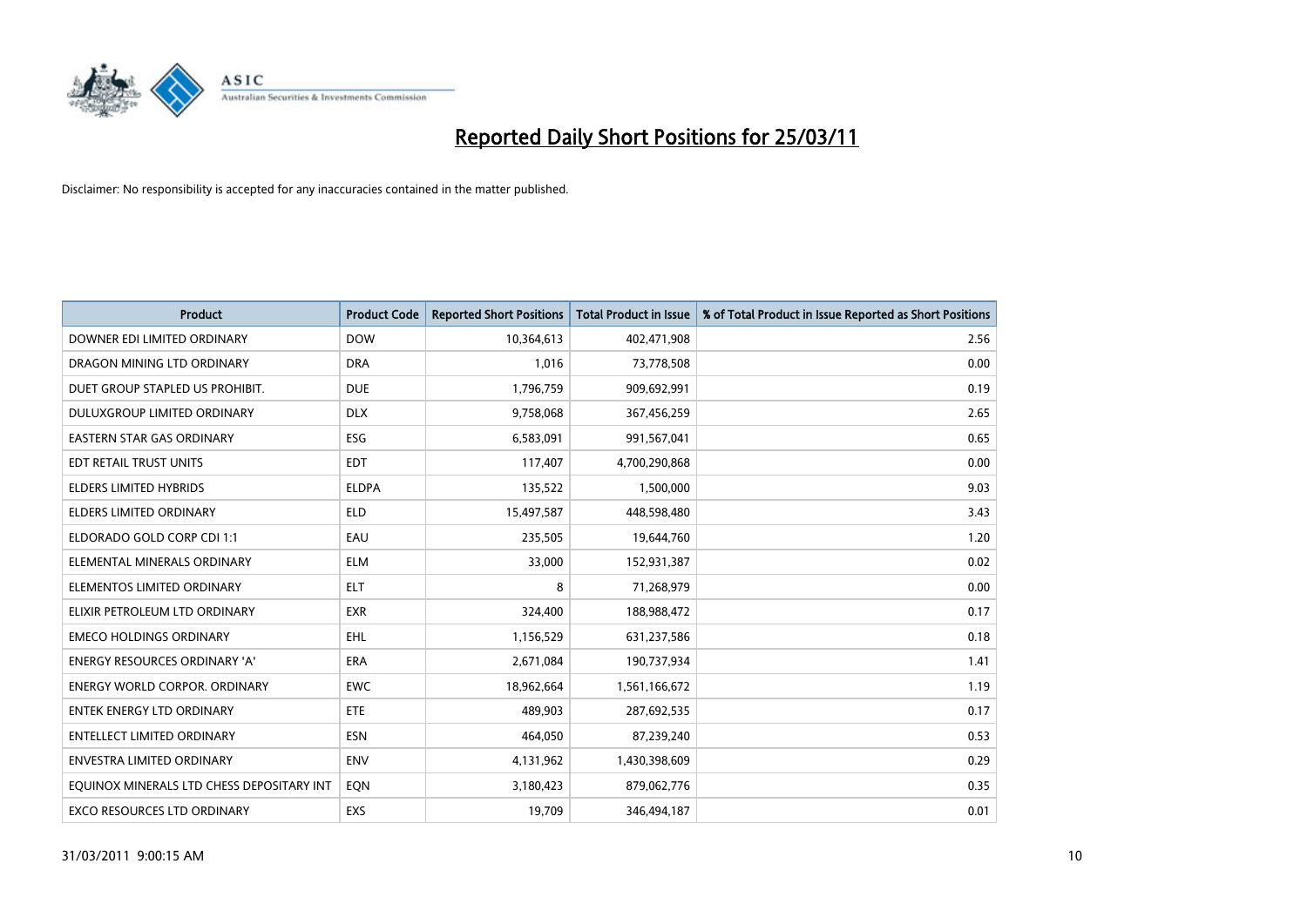

| Product                                   | <b>Product Code</b> | <b>Reported Short Positions</b> | <b>Total Product in Issue</b> | % of Total Product in Issue Reported as Short Positions |
|-------------------------------------------|---------------------|---------------------------------|-------------------------------|---------------------------------------------------------|
| DOWNER EDI LIMITED ORDINARY               | <b>DOW</b>          | 10,364,613                      | 402,471,908                   | 2.56                                                    |
| DRAGON MINING LTD ORDINARY                | <b>DRA</b>          | 1.016                           | 73,778,508                    | 0.00                                                    |
| DUET GROUP STAPLED US PROHIBIT.           | <b>DUE</b>          | 1,796,759                       | 909,692,991                   | 0.19                                                    |
| DULUXGROUP LIMITED ORDINARY               | <b>DLX</b>          | 9,758,068                       | 367,456,259                   | 2.65                                                    |
| <b>EASTERN STAR GAS ORDINARY</b>          | ESG                 | 6,583,091                       | 991,567,041                   | 0.65                                                    |
| EDT RETAIL TRUST UNITS                    | <b>EDT</b>          | 117,407                         | 4,700,290,868                 | 0.00                                                    |
| <b>ELDERS LIMITED HYBRIDS</b>             | <b>ELDPA</b>        | 135,522                         | 1,500,000                     | 9.03                                                    |
| <b>ELDERS LIMITED ORDINARY</b>            | <b>ELD</b>          | 15,497,587                      | 448,598,480                   | 3.43                                                    |
| ELDORADO GOLD CORP CDI 1:1                | EAU                 | 235,505                         | 19,644,760                    | 1.20                                                    |
| ELEMENTAL MINERALS ORDINARY               | <b>ELM</b>          | 33,000                          | 152,931,387                   | 0.02                                                    |
| ELEMENTOS LIMITED ORDINARY                | <b>ELT</b>          | 8                               | 71,268,979                    | 0.00                                                    |
| ELIXIR PETROLEUM LTD ORDINARY             | <b>EXR</b>          | 324,400                         | 188,988,472                   | 0.17                                                    |
| <b>EMECO HOLDINGS ORDINARY</b>            | <b>EHL</b>          | 1,156,529                       | 631,237,586                   | 0.18                                                    |
| <b>ENERGY RESOURCES ORDINARY 'A'</b>      | <b>ERA</b>          | 2,671,084                       | 190,737,934                   | 1.41                                                    |
| <b>ENERGY WORLD CORPOR, ORDINARY</b>      | <b>EWC</b>          | 18,962,664                      | 1,561,166,672                 | 1.19                                                    |
| <b>ENTEK ENERGY LTD ORDINARY</b>          | <b>ETE</b>          | 489.903                         | 287,692,535                   | 0.17                                                    |
| <b>ENTELLECT LIMITED ORDINARY</b>         | <b>ESN</b>          | 464,050                         | 87,239,240                    | 0.53                                                    |
| ENVESTRA LIMITED ORDINARY                 | <b>ENV</b>          | 4,131,962                       | 1,430,398,609                 | 0.29                                                    |
| EOUINOX MINERALS LTD CHESS DEPOSITARY INT | EQN                 | 3,180,423                       | 879,062,776                   | 0.35                                                    |
| <b>EXCO RESOURCES LTD ORDINARY</b>        | EXS                 | 19,709                          | 346,494,187                   | 0.01                                                    |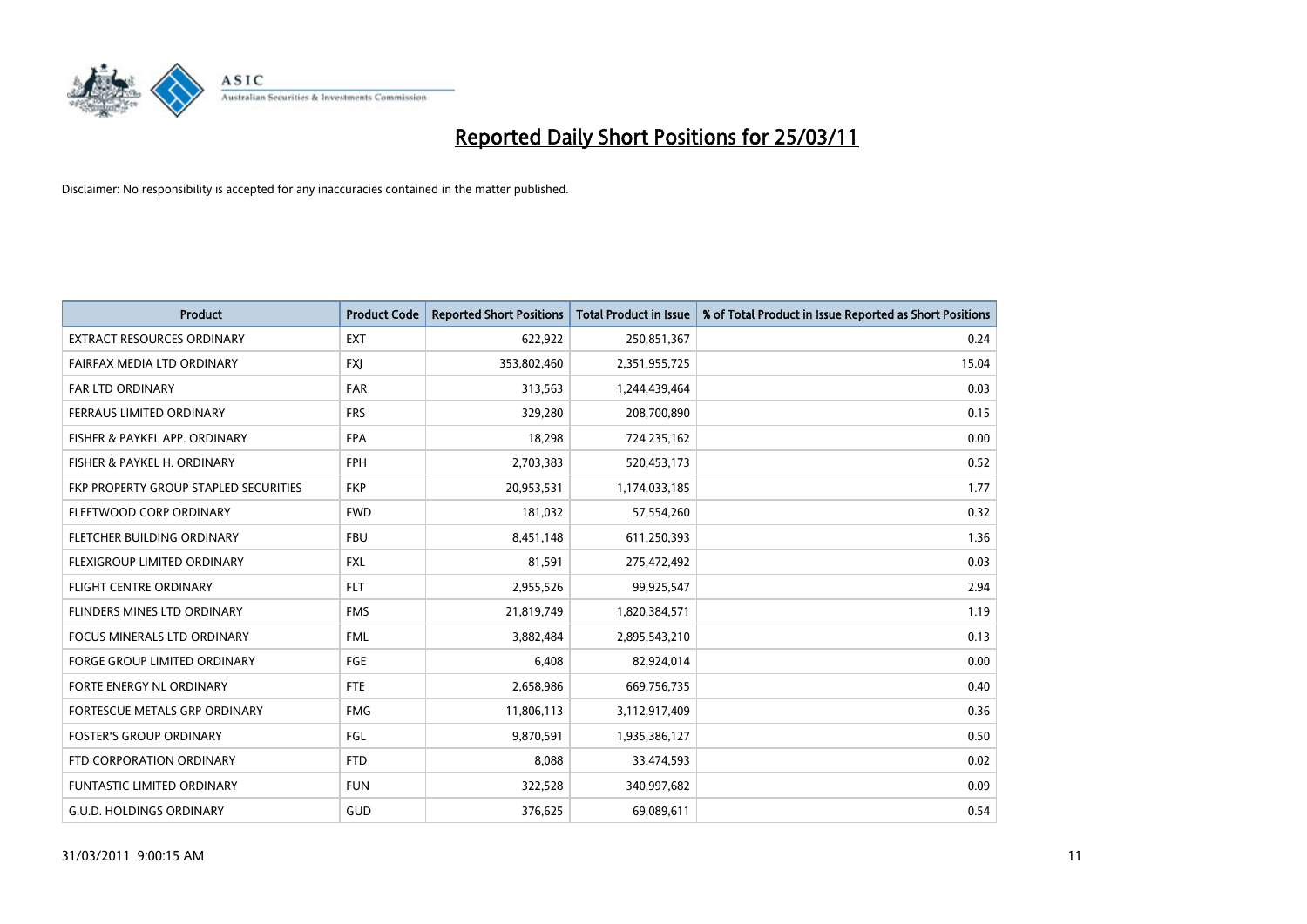

| <b>Product</b>                        | <b>Product Code</b> | <b>Reported Short Positions</b> | Total Product in Issue | % of Total Product in Issue Reported as Short Positions |
|---------------------------------------|---------------------|---------------------------------|------------------------|---------------------------------------------------------|
| <b>EXTRACT RESOURCES ORDINARY</b>     | <b>EXT</b>          | 622,922                         | 250,851,367            | 0.24                                                    |
| FAIRFAX MEDIA LTD ORDINARY            | <b>FXI</b>          | 353,802,460                     | 2,351,955,725          | 15.04                                                   |
| <b>FAR LTD ORDINARY</b>               | <b>FAR</b>          | 313,563                         | 1,244,439,464          | 0.03                                                    |
| FERRAUS LIMITED ORDINARY              | <b>FRS</b>          | 329,280                         | 208,700,890            | 0.15                                                    |
| FISHER & PAYKEL APP. ORDINARY         | <b>FPA</b>          | 18,298                          | 724,235,162            | 0.00                                                    |
| FISHER & PAYKEL H. ORDINARY           | <b>FPH</b>          | 2,703,383                       | 520,453,173            | 0.52                                                    |
| FKP PROPERTY GROUP STAPLED SECURITIES | <b>FKP</b>          | 20,953,531                      | 1,174,033,185          | 1.77                                                    |
| FLEETWOOD CORP ORDINARY               | <b>FWD</b>          | 181,032                         | 57,554,260             | 0.32                                                    |
| FLETCHER BUILDING ORDINARY            | <b>FBU</b>          | 8,451,148                       | 611,250,393            | 1.36                                                    |
| FLEXIGROUP LIMITED ORDINARY           | <b>FXL</b>          | 81,591                          | 275,472,492            | 0.03                                                    |
| <b>FLIGHT CENTRE ORDINARY</b>         | <b>FLT</b>          | 2,955,526                       | 99,925,547             | 2.94                                                    |
| FLINDERS MINES LTD ORDINARY           | <b>FMS</b>          | 21,819,749                      | 1,820,384,571          | 1.19                                                    |
| <b>FOCUS MINERALS LTD ORDINARY</b>    | <b>FML</b>          | 3,882,484                       | 2,895,543,210          | 0.13                                                    |
| <b>FORGE GROUP LIMITED ORDINARY</b>   | FGE                 | 6,408                           | 82,924,014             | 0.00                                                    |
| FORTE ENERGY NL ORDINARY              | FTE                 | 2,658,986                       | 669,756,735            | 0.40                                                    |
| FORTESCUE METALS GRP ORDINARY         | <b>FMG</b>          | 11,806,113                      | 3,112,917,409          | 0.36                                                    |
| <b>FOSTER'S GROUP ORDINARY</b>        | FGL                 | 9,870,591                       | 1,935,386,127          | 0.50                                                    |
| FTD CORPORATION ORDINARY              | <b>FTD</b>          | 8,088                           | 33,474,593             | 0.02                                                    |
| <b>FUNTASTIC LIMITED ORDINARY</b>     | <b>FUN</b>          | 322,528                         | 340,997,682            | 0.09                                                    |
| G.U.D. HOLDINGS ORDINARY              | GUD                 | 376,625                         | 69,089,611             | 0.54                                                    |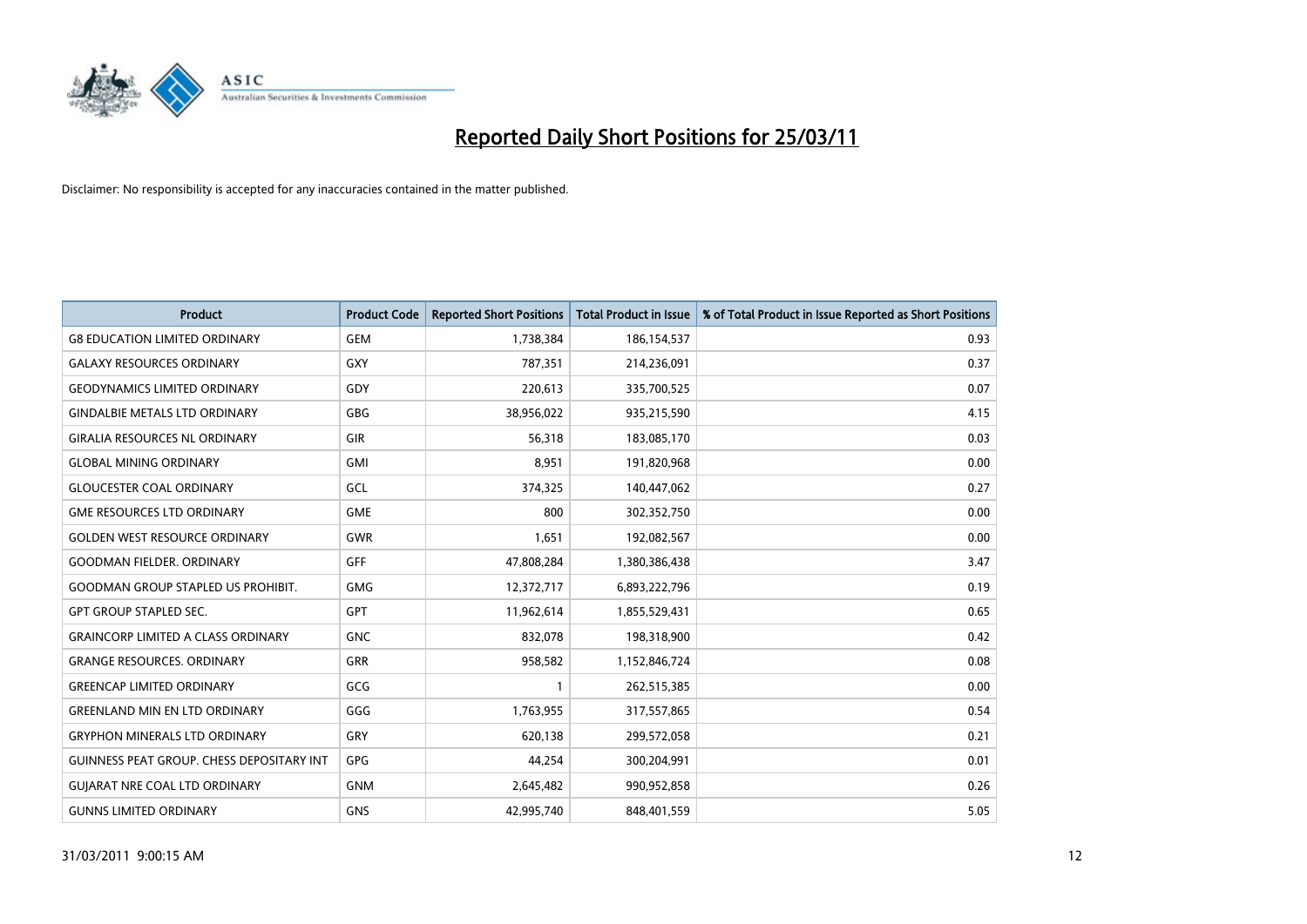

| <b>Product</b>                            | <b>Product Code</b> | <b>Reported Short Positions</b> | Total Product in Issue | % of Total Product in Issue Reported as Short Positions |
|-------------------------------------------|---------------------|---------------------------------|------------------------|---------------------------------------------------------|
| <b>G8 EDUCATION LIMITED ORDINARY</b>      | <b>GEM</b>          | 1,738,384                       | 186,154,537            | 0.93                                                    |
| <b>GALAXY RESOURCES ORDINARY</b>          | GXY                 | 787.351                         | 214,236,091            | 0.37                                                    |
| <b>GEODYNAMICS LIMITED ORDINARY</b>       | GDY                 | 220,613                         | 335,700,525            | 0.07                                                    |
| <b>GINDALBIE METALS LTD ORDINARY</b>      | <b>GBG</b>          | 38,956,022                      | 935,215,590            | 4.15                                                    |
| <b>GIRALIA RESOURCES NL ORDINARY</b>      | GIR                 | 56.318                          | 183,085,170            | 0.03                                                    |
| <b>GLOBAL MINING ORDINARY</b>             | <b>GMI</b>          | 8,951                           | 191,820,968            | 0.00                                                    |
| <b>GLOUCESTER COAL ORDINARY</b>           | GCL                 | 374,325                         | 140,447,062            | 0.27                                                    |
| <b>GME RESOURCES LTD ORDINARY</b>         | <b>GME</b>          | 800                             | 302,352,750            | 0.00                                                    |
| <b>GOLDEN WEST RESOURCE ORDINARY</b>      | <b>GWR</b>          | 1,651                           | 192,082,567            | 0.00                                                    |
| <b>GOODMAN FIELDER, ORDINARY</b>          | <b>GFF</b>          | 47,808,284                      | 1,380,386,438          | 3.47                                                    |
| <b>GOODMAN GROUP STAPLED US PROHIBIT.</b> | <b>GMG</b>          | 12,372,717                      | 6,893,222,796          | 0.19                                                    |
| <b>GPT GROUP STAPLED SEC.</b>             | <b>GPT</b>          | 11,962,614                      | 1,855,529,431          | 0.65                                                    |
| <b>GRAINCORP LIMITED A CLASS ORDINARY</b> | <b>GNC</b>          | 832.078                         | 198,318,900            | 0.42                                                    |
| <b>GRANGE RESOURCES, ORDINARY</b>         | <b>GRR</b>          | 958,582                         | 1,152,846,724          | 0.08                                                    |
| <b>GREENCAP LIMITED ORDINARY</b>          | GCG                 |                                 | 262,515,385            | 0.00                                                    |
| <b>GREENLAND MIN EN LTD ORDINARY</b>      | GGG                 | 1,763,955                       | 317,557,865            | 0.54                                                    |
| GRYPHON MINERALS LTD ORDINARY             | GRY                 | 620,138                         | 299,572,058            | 0.21                                                    |
| GUINNESS PEAT GROUP. CHESS DEPOSITARY INT | <b>GPG</b>          | 44,254                          | 300,204,991            | 0.01                                                    |
| <b>GUIARAT NRE COAL LTD ORDINARY</b>      | <b>GNM</b>          | 2,645,482                       | 990,952,858            | 0.26                                                    |
| <b>GUNNS LIMITED ORDINARY</b>             | <b>GNS</b>          | 42.995.740                      | 848.401.559            | 5.05                                                    |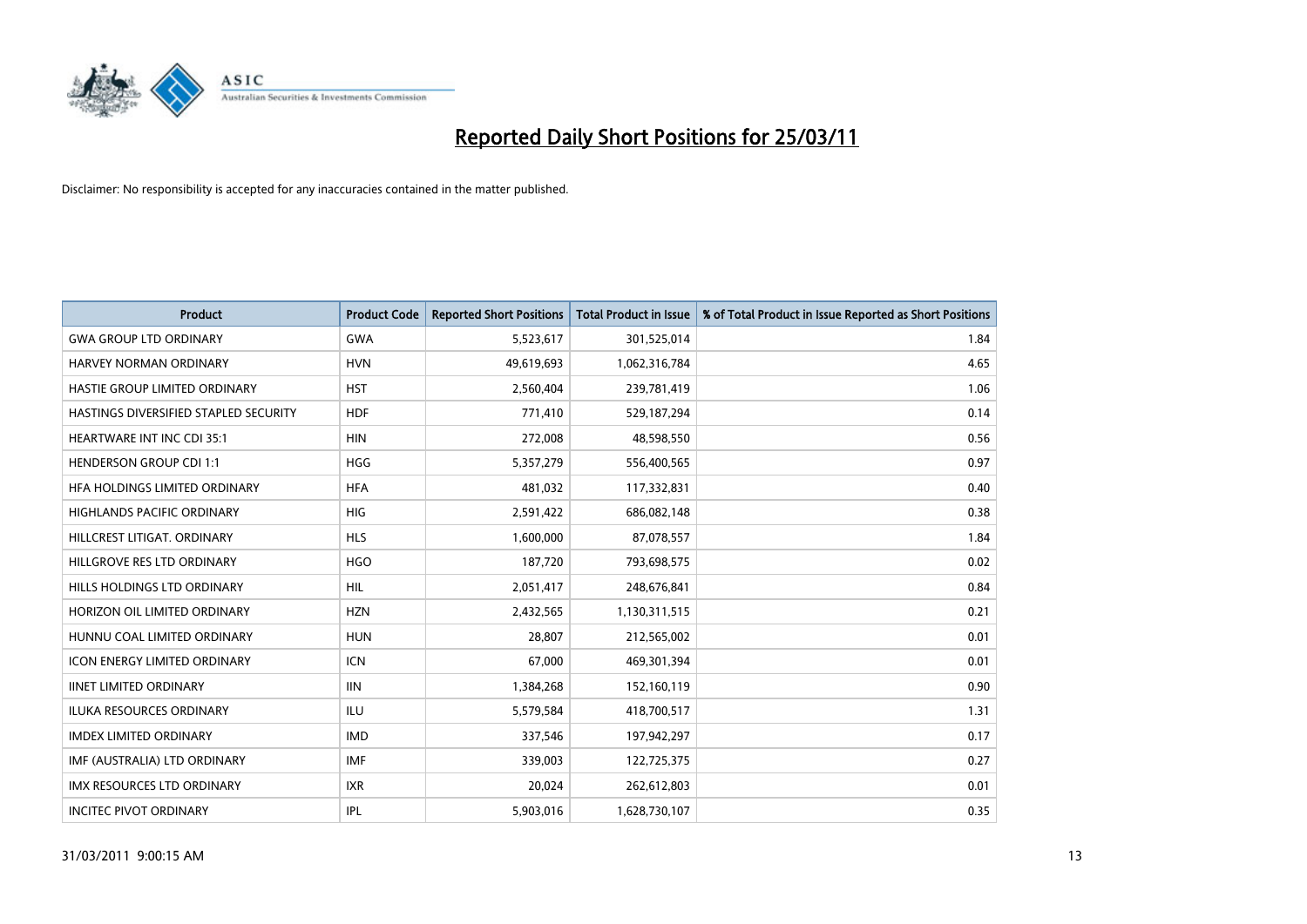

| Product                               | <b>Product Code</b> | <b>Reported Short Positions</b> | <b>Total Product in Issue</b> | % of Total Product in Issue Reported as Short Positions |
|---------------------------------------|---------------------|---------------------------------|-------------------------------|---------------------------------------------------------|
| <b>GWA GROUP LTD ORDINARY</b>         | <b>GWA</b>          | 5,523,617                       | 301,525,014                   | 1.84                                                    |
| HARVEY NORMAN ORDINARY                | <b>HVN</b>          | 49,619,693                      | 1,062,316,784                 | 4.65                                                    |
| HASTIE GROUP LIMITED ORDINARY         | <b>HST</b>          | 2,560,404                       | 239,781,419                   | 1.06                                                    |
| HASTINGS DIVERSIFIED STAPLED SECURITY | <b>HDF</b>          | 771,410                         | 529,187,294                   | 0.14                                                    |
| <b>HEARTWARE INT INC CDI 35:1</b>     | <b>HIN</b>          | 272,008                         | 48,598,550                    | 0.56                                                    |
| <b>HENDERSON GROUP CDI 1:1</b>        | <b>HGG</b>          | 5,357,279                       | 556,400,565                   | 0.97                                                    |
| HEA HOLDINGS LIMITED ORDINARY         | <b>HFA</b>          | 481,032                         | 117,332,831                   | 0.40                                                    |
| HIGHLANDS PACIFIC ORDINARY            | <b>HIG</b>          | 2,591,422                       | 686,082,148                   | 0.38                                                    |
| HILLCREST LITIGAT. ORDINARY           | <b>HLS</b>          | 1,600,000                       | 87,078,557                    | 1.84                                                    |
| HILLGROVE RES LTD ORDINARY            | <b>HGO</b>          | 187,720                         | 793,698,575                   | 0.02                                                    |
| HILLS HOLDINGS LTD ORDINARY           | <b>HIL</b>          | 2,051,417                       | 248,676,841                   | 0.84                                                    |
| HORIZON OIL LIMITED ORDINARY          | <b>HZN</b>          | 2,432,565                       | 1,130,311,515                 | 0.21                                                    |
| HUNNU COAL LIMITED ORDINARY           | <b>HUN</b>          | 28.807                          | 212,565,002                   | 0.01                                                    |
| <b>ICON ENERGY LIMITED ORDINARY</b>   | <b>ICN</b>          | 67,000                          | 469,301,394                   | 0.01                                                    |
| <b>IINET LIMITED ORDINARY</b>         | <b>IIN</b>          | 1,384,268                       | 152,160,119                   | 0.90                                                    |
| <b>ILUKA RESOURCES ORDINARY</b>       | ILU                 | 5,579,584                       | 418,700,517                   | 1.31                                                    |
| <b>IMDEX LIMITED ORDINARY</b>         | <b>IMD</b>          | 337,546                         | 197,942,297                   | 0.17                                                    |
| IMF (AUSTRALIA) LTD ORDINARY          | <b>IMF</b>          | 339,003                         | 122,725,375                   | 0.27                                                    |
| IMX RESOURCES LTD ORDINARY            | <b>IXR</b>          | 20,024                          | 262,612,803                   | 0.01                                                    |
| <b>INCITEC PIVOT ORDINARY</b>         | IPL                 | 5,903,016                       | 1,628,730,107                 | 0.35                                                    |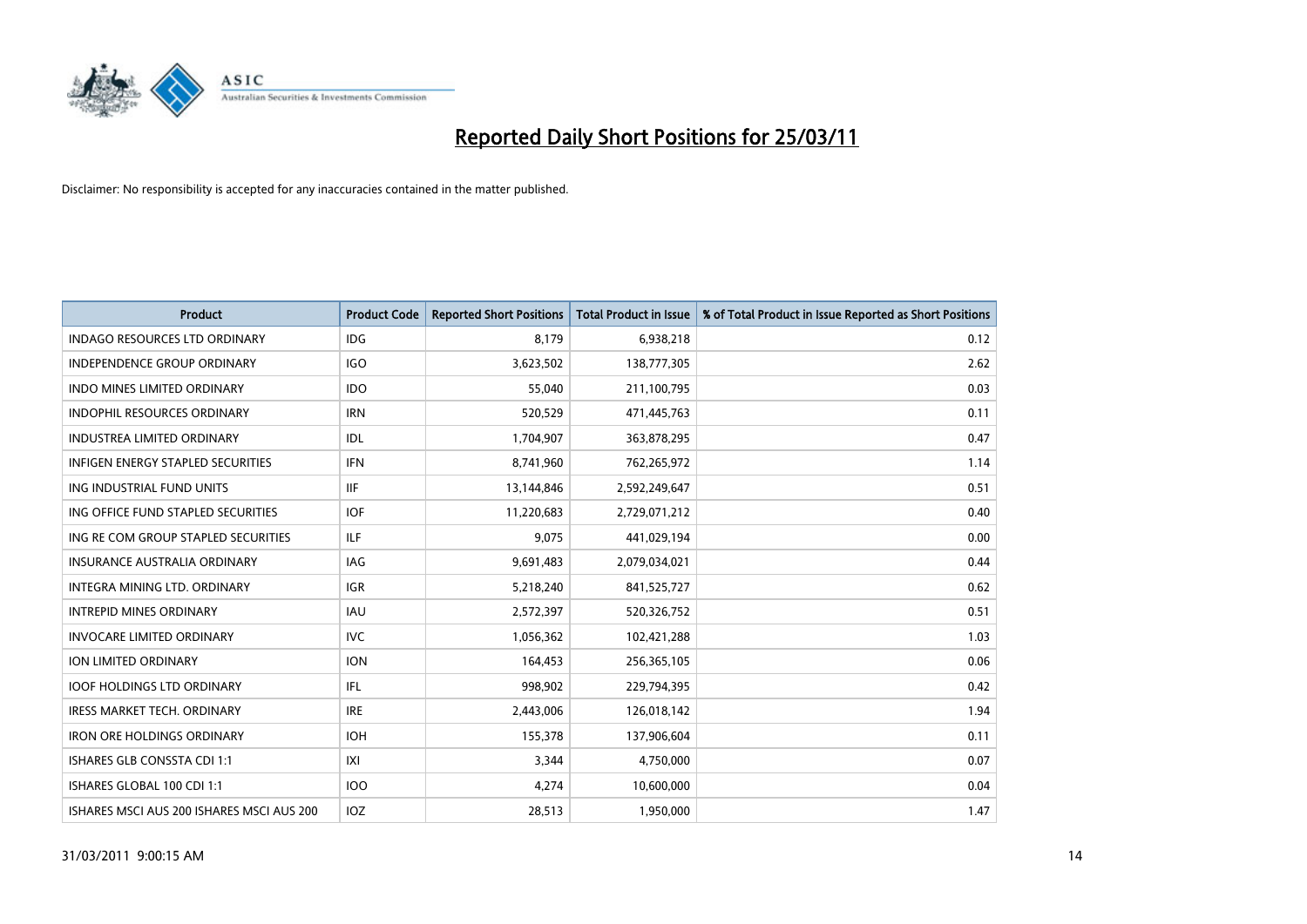

| <b>Product</b>                            | <b>Product Code</b> | <b>Reported Short Positions</b> | <b>Total Product in Issue</b> | % of Total Product in Issue Reported as Short Positions |
|-------------------------------------------|---------------------|---------------------------------|-------------------------------|---------------------------------------------------------|
| <b>INDAGO RESOURCES LTD ORDINARY</b>      | IDG                 | 8,179                           | 6,938,218                     | 0.12                                                    |
| INDEPENDENCE GROUP ORDINARY               | <b>IGO</b>          | 3,623,502                       | 138,777,305                   | 2.62                                                    |
| <b>INDO MINES LIMITED ORDINARY</b>        | <b>IDO</b>          | 55.040                          | 211,100,795                   | 0.03                                                    |
| INDOPHIL RESOURCES ORDINARY               | <b>IRN</b>          | 520,529                         | 471,445,763                   | 0.11                                                    |
| <b>INDUSTREA LIMITED ORDINARY</b>         | <b>IDL</b>          | 1,704,907                       | 363,878,295                   | 0.47                                                    |
| <b>INFIGEN ENERGY STAPLED SECURITIES</b>  | <b>IFN</b>          | 8,741,960                       | 762,265,972                   | 1.14                                                    |
| ING INDUSTRIAL FUND UNITS                 | IIF                 | 13,144,846                      | 2,592,249,647                 | 0.51                                                    |
| ING OFFICE FUND STAPLED SECURITIES        | <b>IOF</b>          | 11,220,683                      | 2,729,071,212                 | 0.40                                                    |
| ING RE COM GROUP STAPLED SECURITIES       | <b>ILF</b>          | 9,075                           | 441,029,194                   | 0.00                                                    |
| <b>INSURANCE AUSTRALIA ORDINARY</b>       | IAG                 | 9,691,483                       | 2,079,034,021                 | 0.44                                                    |
| INTEGRA MINING LTD. ORDINARY              | <b>IGR</b>          | 5,218,240                       | 841,525,727                   | 0.62                                                    |
| <b>INTREPID MINES ORDINARY</b>            | <b>IAU</b>          | 2,572,397                       | 520,326,752                   | 0.51                                                    |
| <b>INVOCARE LIMITED ORDINARY</b>          | <b>IVC</b>          | 1,056,362                       | 102,421,288                   | 1.03                                                    |
| <b>ION LIMITED ORDINARY</b>               | <b>ION</b>          | 164,453                         | 256,365,105                   | 0.06                                                    |
| <b>IOOF HOLDINGS LTD ORDINARY</b>         | <b>IFL</b>          | 998,902                         | 229,794,395                   | 0.42                                                    |
| <b>IRESS MARKET TECH. ORDINARY</b>        | <b>IRE</b>          | 2,443,006                       | 126,018,142                   | 1.94                                                    |
| <b>IRON ORE HOLDINGS ORDINARY</b>         | <b>IOH</b>          | 155,378                         | 137,906,604                   | 0.11                                                    |
| ISHARES GLB CONSSTA CDI 1:1               | X                   | 3,344                           | 4,750,000                     | 0.07                                                    |
| ISHARES GLOBAL 100 CDI 1:1                | <b>IOO</b>          | 4,274                           | 10,600,000                    | 0.04                                                    |
| ISHARES MSCI AUS 200 ISHARES MSCI AUS 200 | IOZ                 | 28,513                          | 1,950,000                     | 1.47                                                    |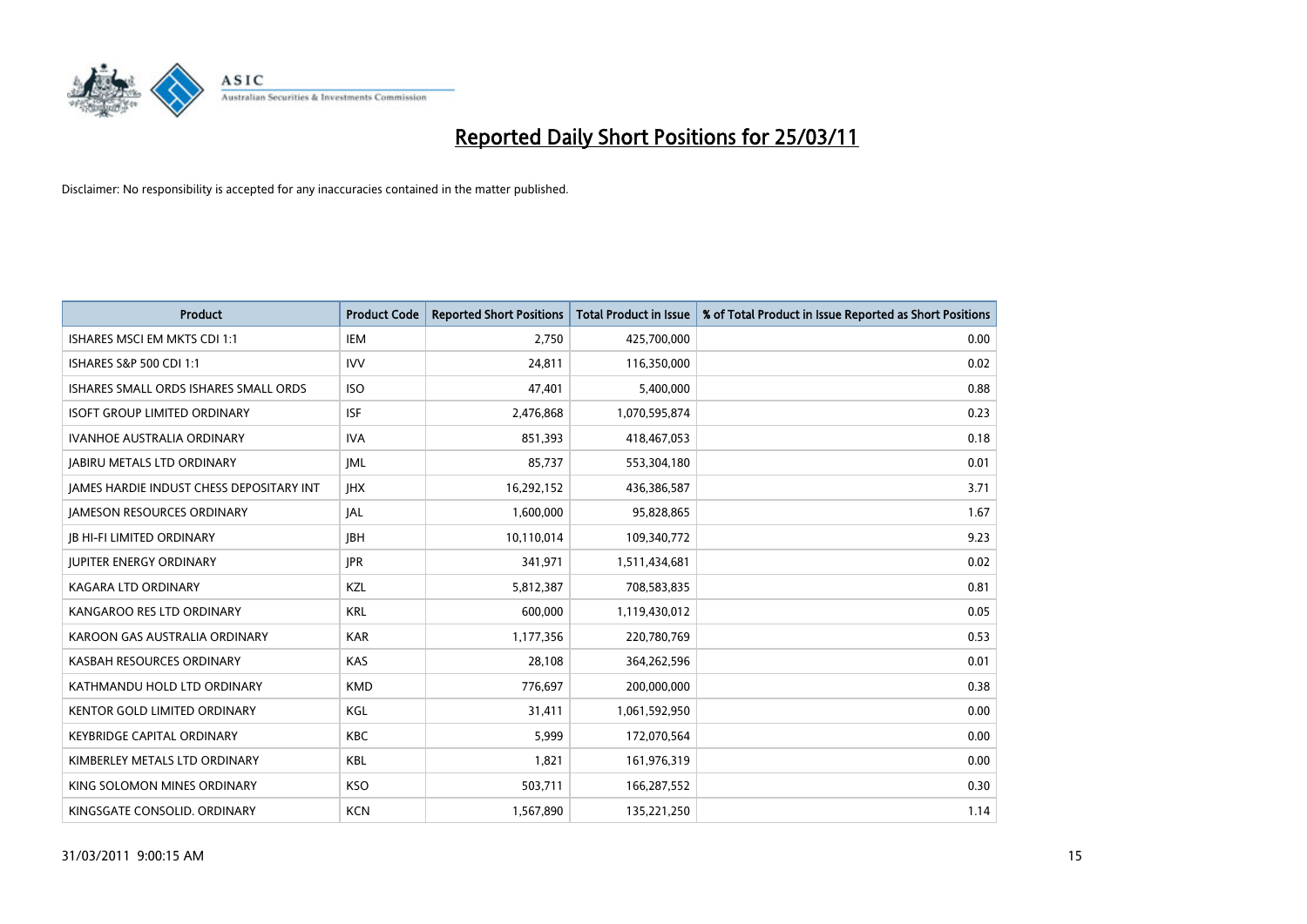

| Product                                  | <b>Product Code</b> | <b>Reported Short Positions</b> | Total Product in Issue | % of Total Product in Issue Reported as Short Positions |
|------------------------------------------|---------------------|---------------------------------|------------------------|---------------------------------------------------------|
| ISHARES MSCI EM MKTS CDI 1:1             | <b>IEM</b>          | 2,750                           | 425,700,000            | 0.00                                                    |
| ISHARES S&P 500 CDI 1:1                  | <b>IVV</b>          | 24,811                          | 116,350,000            | 0.02                                                    |
| ISHARES SMALL ORDS ISHARES SMALL ORDS    | <b>ISO</b>          | 47,401                          | 5,400,000              | 0.88                                                    |
| <b>ISOFT GROUP LIMITED ORDINARY</b>      | <b>ISF</b>          | 2,476,868                       | 1,070,595,874          | 0.23                                                    |
| <b>IVANHOE AUSTRALIA ORDINARY</b>        | <b>IVA</b>          | 851,393                         | 418,467,053            | 0.18                                                    |
| <b>JABIRU METALS LTD ORDINARY</b>        | IML                 | 85,737                          | 553,304,180            | 0.01                                                    |
| JAMES HARDIE INDUST CHESS DEPOSITARY INT | <b>JHX</b>          | 16,292,152                      | 436,386,587            | 3.71                                                    |
| JAMESON RESOURCES ORDINARY               | JAL                 | 1,600,000                       | 95,828,865             | 1.67                                                    |
| <b>JB HI-FI LIMITED ORDINARY</b>         | <b>IBH</b>          | 10,110,014                      | 109,340,772            | 9.23                                                    |
| <b>JUPITER ENERGY ORDINARY</b>           | <b>IPR</b>          | 341,971                         | 1,511,434,681          | 0.02                                                    |
| KAGARA LTD ORDINARY                      | KZL                 | 5,812,387                       | 708,583,835            | 0.81                                                    |
| KANGAROO RES LTD ORDINARY                | <b>KRL</b>          | 600,000                         | 1,119,430,012          | 0.05                                                    |
| KAROON GAS AUSTRALIA ORDINARY            | <b>KAR</b>          | 1,177,356                       | 220,780,769            | 0.53                                                    |
| KASBAH RESOURCES ORDINARY                | <b>KAS</b>          | 28,108                          | 364,262,596            | 0.01                                                    |
| KATHMANDU HOLD LTD ORDINARY              | <b>KMD</b>          | 776,697                         | 200,000,000            | 0.38                                                    |
| <b>KENTOR GOLD LIMITED ORDINARY</b>      | KGL                 | 31,411                          | 1,061,592,950          | 0.00                                                    |
| <b>KEYBRIDGE CAPITAL ORDINARY</b>        | <b>KBC</b>          | 5,999                           | 172,070,564            | 0.00                                                    |
| KIMBERLEY METALS LTD ORDINARY            | <b>KBL</b>          | 1,821                           | 161,976,319            | 0.00                                                    |
| KING SOLOMON MINES ORDINARY              | <b>KSO</b>          | 503,711                         | 166,287,552            | 0.30                                                    |
| KINGSGATE CONSOLID. ORDINARY             | <b>KCN</b>          | 1,567,890                       | 135,221,250            | 1.14                                                    |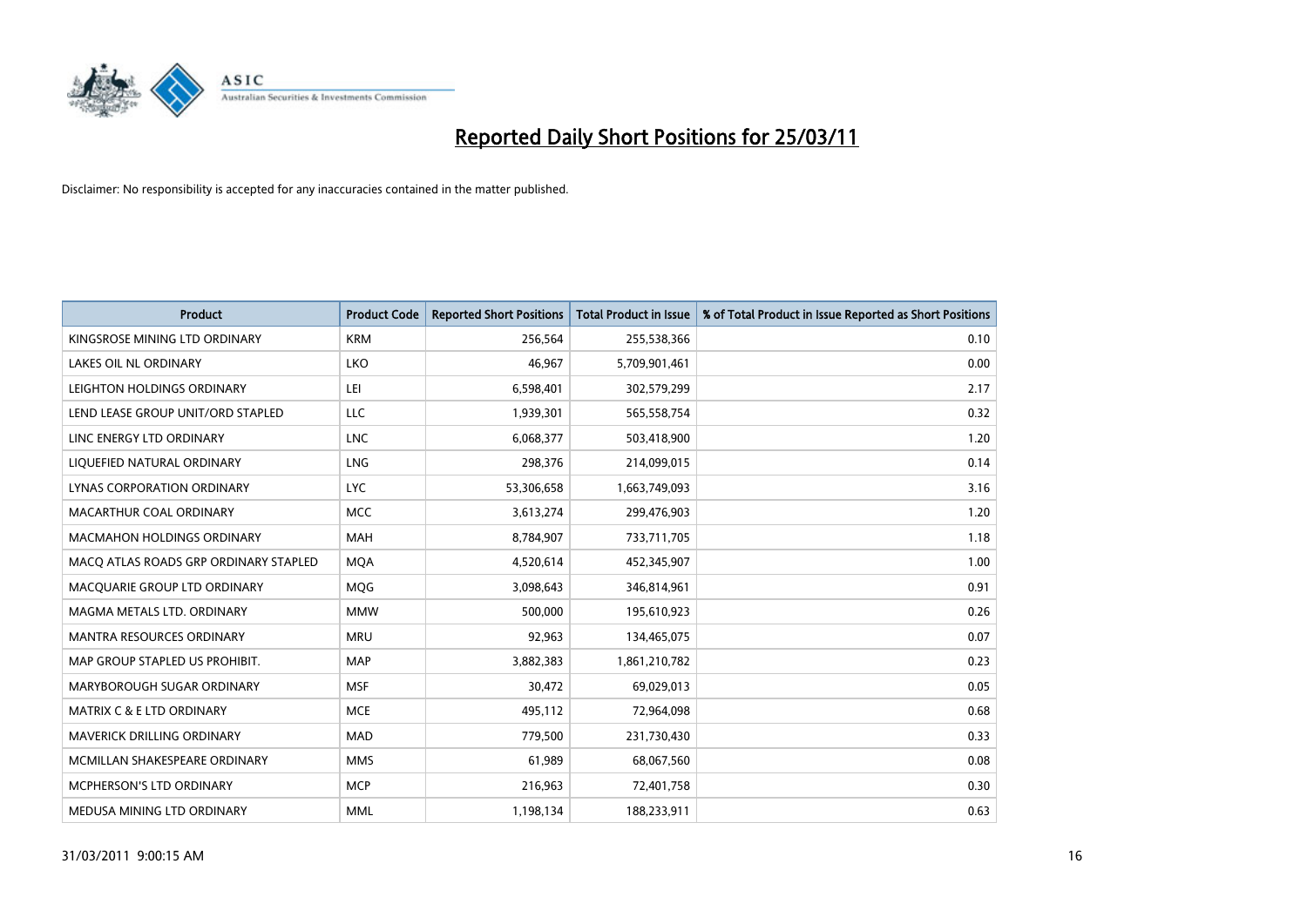

| <b>Product</b>                        | <b>Product Code</b> | <b>Reported Short Positions</b> | <b>Total Product in Issue</b> | % of Total Product in Issue Reported as Short Positions |
|---------------------------------------|---------------------|---------------------------------|-------------------------------|---------------------------------------------------------|
| KINGSROSE MINING LTD ORDINARY         | <b>KRM</b>          | 256,564                         | 255,538,366                   | 0.10                                                    |
| LAKES OIL NL ORDINARY                 | LKO                 | 46,967                          | 5,709,901,461                 | 0.00                                                    |
| LEIGHTON HOLDINGS ORDINARY            | LEI                 | 6,598,401                       | 302,579,299                   | 2.17                                                    |
| LEND LEASE GROUP UNIT/ORD STAPLED     | LLC                 | 1,939,301                       | 565,558,754                   | 0.32                                                    |
| LINC ENERGY LTD ORDINARY              | <b>LNC</b>          | 6,068,377                       | 503,418,900                   | 1.20                                                    |
| LIQUEFIED NATURAL ORDINARY            | <b>LNG</b>          | 298,376                         | 214,099,015                   | 0.14                                                    |
| <b>LYNAS CORPORATION ORDINARY</b>     | <b>LYC</b>          | 53,306,658                      | 1,663,749,093                 | 3.16                                                    |
| MACARTHUR COAL ORDINARY               | <b>MCC</b>          | 3,613,274                       | 299,476,903                   | 1.20                                                    |
| MACMAHON HOLDINGS ORDINARY            | <b>MAH</b>          | 8,784,907                       | 733,711,705                   | 1.18                                                    |
| MACO ATLAS ROADS GRP ORDINARY STAPLED | <b>MOA</b>          | 4,520,614                       | 452,345,907                   | 1.00                                                    |
| MACQUARIE GROUP LTD ORDINARY          | MQG                 | 3,098,643                       | 346,814,961                   | 0.91                                                    |
| MAGMA METALS LTD. ORDINARY            | <b>MMW</b>          | 500,000                         | 195,610,923                   | 0.26                                                    |
| <b>MANTRA RESOURCES ORDINARY</b>      | <b>MRU</b>          | 92,963                          | 134,465,075                   | 0.07                                                    |
| MAP GROUP STAPLED US PROHIBIT.        | <b>MAP</b>          | 3,882,383                       | 1,861,210,782                 | 0.23                                                    |
| MARYBOROUGH SUGAR ORDINARY            | <b>MSF</b>          | 30,472                          | 69,029,013                    | 0.05                                                    |
| <b>MATRIX C &amp; E LTD ORDINARY</b>  | <b>MCE</b>          | 495,112                         | 72,964,098                    | 0.68                                                    |
| MAVERICK DRILLING ORDINARY            | <b>MAD</b>          | 779,500                         | 231,730,430                   | 0.33                                                    |
| MCMILLAN SHAKESPEARE ORDINARY         | <b>MMS</b>          | 61,989                          | 68,067,560                    | 0.08                                                    |
| MCPHERSON'S LTD ORDINARY              | <b>MCP</b>          | 216,963                         | 72,401,758                    | 0.30                                                    |
| MEDUSA MINING LTD ORDINARY            | <b>MML</b>          | 1,198,134                       | 188,233,911                   | 0.63                                                    |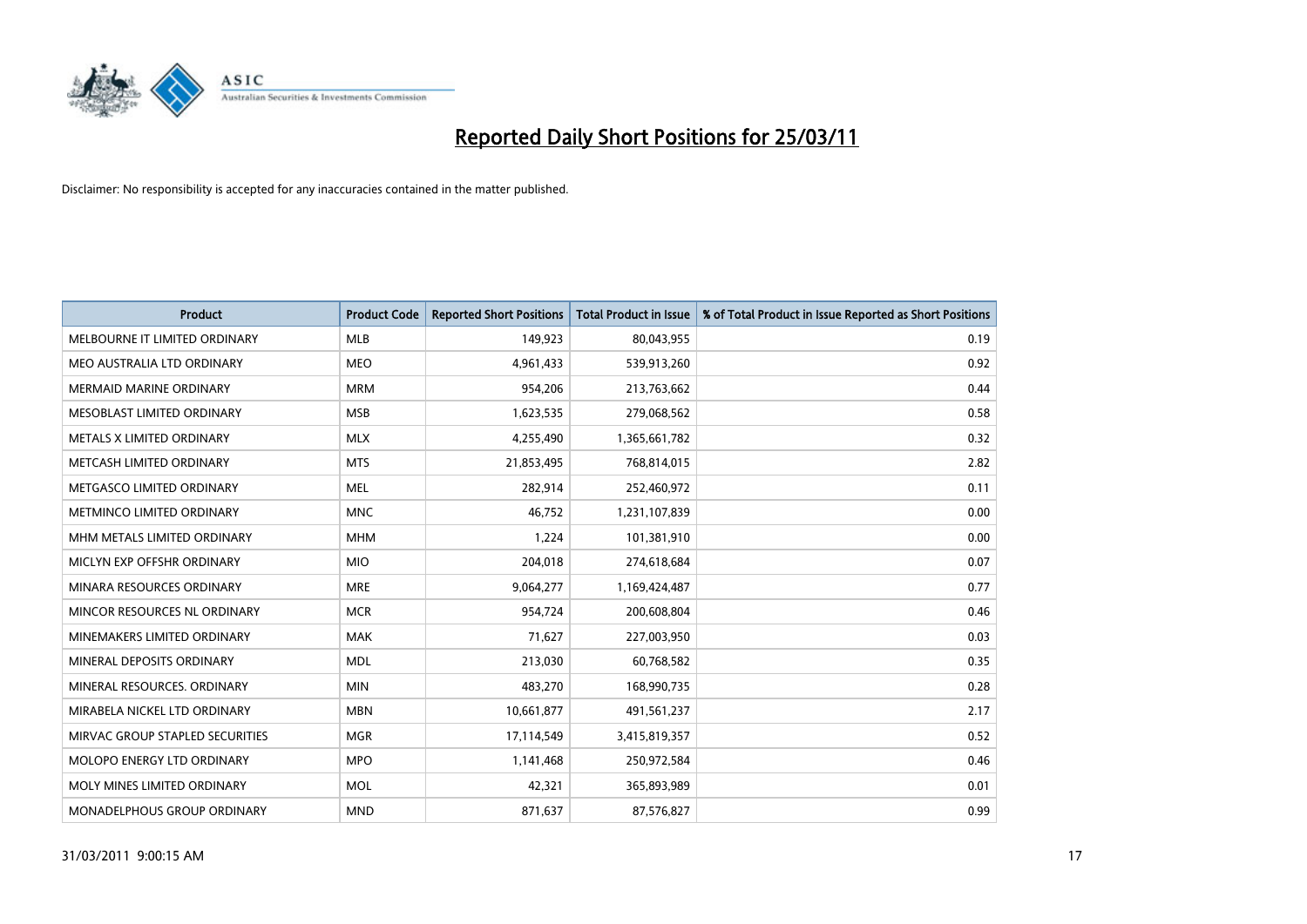

| <b>Product</b>                  | <b>Product Code</b> | <b>Reported Short Positions</b> | <b>Total Product in Issue</b> | % of Total Product in Issue Reported as Short Positions |
|---------------------------------|---------------------|---------------------------------|-------------------------------|---------------------------------------------------------|
| MELBOURNE IT LIMITED ORDINARY   | <b>MLB</b>          | 149,923                         | 80,043,955                    | 0.19                                                    |
| MEO AUSTRALIA LTD ORDINARY      | <b>MEO</b>          | 4,961,433                       | 539,913,260                   | 0.92                                                    |
| <b>MERMAID MARINE ORDINARY</b>  | <b>MRM</b>          | 954,206                         | 213,763,662                   | 0.44                                                    |
| MESOBLAST LIMITED ORDINARY      | <b>MSB</b>          | 1,623,535                       | 279,068,562                   | 0.58                                                    |
| METALS X LIMITED ORDINARY       | <b>MLX</b>          | 4,255,490                       | 1,365,661,782                 | 0.32                                                    |
| METCASH LIMITED ORDINARY        | <b>MTS</b>          | 21,853,495                      | 768,814,015                   | 2.82                                                    |
| METGASCO LIMITED ORDINARY       | <b>MEL</b>          | 282,914                         | 252,460,972                   | 0.11                                                    |
| METMINCO LIMITED ORDINARY       | <b>MNC</b>          | 46,752                          | 1,231,107,839                 | 0.00                                                    |
| MHM METALS LIMITED ORDINARY     | <b>MHM</b>          | 1,224                           | 101,381,910                   | 0.00                                                    |
| MICLYN EXP OFFSHR ORDINARY      | <b>MIO</b>          | 204,018                         | 274,618,684                   | 0.07                                                    |
| MINARA RESOURCES ORDINARY       | <b>MRE</b>          | 9,064,277                       | 1,169,424,487                 | 0.77                                                    |
| MINCOR RESOURCES NL ORDINARY    | <b>MCR</b>          | 954,724                         | 200,608,804                   | 0.46                                                    |
| MINEMAKERS LIMITED ORDINARY     | <b>MAK</b>          | 71,627                          | 227,003,950                   | 0.03                                                    |
| MINERAL DEPOSITS ORDINARY       | <b>MDL</b>          | 213,030                         | 60,768,582                    | 0.35                                                    |
| MINERAL RESOURCES, ORDINARY     | <b>MIN</b>          | 483,270                         | 168,990,735                   | 0.28                                                    |
| MIRABELA NICKEL LTD ORDINARY    | <b>MBN</b>          | 10,661,877                      | 491,561,237                   | 2.17                                                    |
| MIRVAC GROUP STAPLED SECURITIES | <b>MGR</b>          | 17,114,549                      | 3,415,819,357                 | 0.52                                                    |
| MOLOPO ENERGY LTD ORDINARY      | <b>MPO</b>          | 1,141,468                       | 250,972,584                   | 0.46                                                    |
| MOLY MINES LIMITED ORDINARY     | <b>MOL</b>          | 42,321                          | 365,893,989                   | 0.01                                                    |
| MONADELPHOUS GROUP ORDINARY     | <b>MND</b>          | 871,637                         | 87,576,827                    | 0.99                                                    |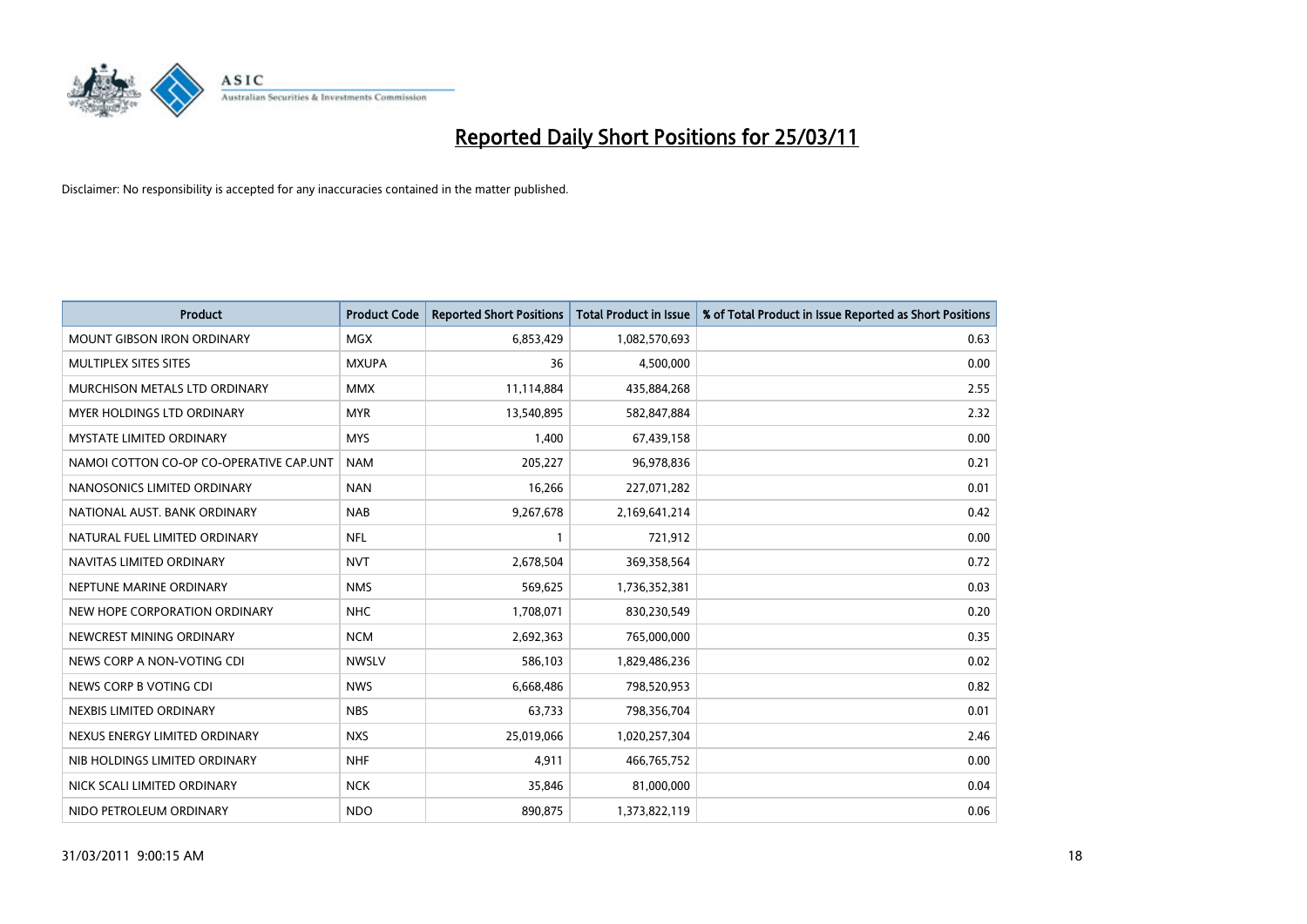

| Product                                 | <b>Product Code</b> | <b>Reported Short Positions</b> | <b>Total Product in Issue</b> | % of Total Product in Issue Reported as Short Positions |
|-----------------------------------------|---------------------|---------------------------------|-------------------------------|---------------------------------------------------------|
| <b>MOUNT GIBSON IRON ORDINARY</b>       | MGX                 | 6,853,429                       | 1,082,570,693                 | 0.63                                                    |
| MULTIPLEX SITES SITES                   | <b>MXUPA</b>        | 36                              | 4,500,000                     | 0.00                                                    |
| MURCHISON METALS LTD ORDINARY           | <b>MMX</b>          | 11,114,884                      | 435,884,268                   | 2.55                                                    |
| MYER HOLDINGS LTD ORDINARY              | <b>MYR</b>          | 13,540,895                      | 582,847,884                   | 2.32                                                    |
| <b>MYSTATE LIMITED ORDINARY</b>         | <b>MYS</b>          | 1,400                           | 67,439,158                    | 0.00                                                    |
| NAMOI COTTON CO-OP CO-OPERATIVE CAP.UNT | <b>NAM</b>          | 205,227                         | 96,978,836                    | 0.21                                                    |
| NANOSONICS LIMITED ORDINARY             | <b>NAN</b>          | 16,266                          | 227,071,282                   | 0.01                                                    |
| NATIONAL AUST. BANK ORDINARY            | <b>NAB</b>          | 9,267,678                       | 2,169,641,214                 | 0.42                                                    |
| NATURAL FUEL LIMITED ORDINARY           | <b>NFL</b>          |                                 | 721,912                       | 0.00                                                    |
| NAVITAS LIMITED ORDINARY                | <b>NVT</b>          | 2,678,504                       | 369,358,564                   | 0.72                                                    |
| NEPTUNE MARINE ORDINARY                 | <b>NMS</b>          | 569,625                         | 1,736,352,381                 | 0.03                                                    |
| NEW HOPE CORPORATION ORDINARY           | <b>NHC</b>          | 1,708,071                       | 830,230,549                   | 0.20                                                    |
| NEWCREST MINING ORDINARY                | <b>NCM</b>          | 2,692,363                       | 765,000,000                   | 0.35                                                    |
| NEWS CORP A NON-VOTING CDI              | <b>NWSLV</b>        | 586,103                         | 1,829,486,236                 | 0.02                                                    |
| NEWS CORP B VOTING CDI                  | <b>NWS</b>          | 6,668,486                       | 798,520,953                   | 0.82                                                    |
| NEXBIS LIMITED ORDINARY                 | <b>NBS</b>          | 63,733                          | 798,356,704                   | 0.01                                                    |
| NEXUS ENERGY LIMITED ORDINARY           | <b>NXS</b>          | 25,019,066                      | 1,020,257,304                 | 2.46                                                    |
| NIB HOLDINGS LIMITED ORDINARY           | <b>NHF</b>          | 4,911                           | 466,765,752                   | 0.00                                                    |
| NICK SCALI LIMITED ORDINARY             | <b>NCK</b>          | 35,846                          | 81,000,000                    | 0.04                                                    |
| NIDO PETROLEUM ORDINARY                 | <b>NDO</b>          | 890,875                         | 1,373,822,119                 | 0.06                                                    |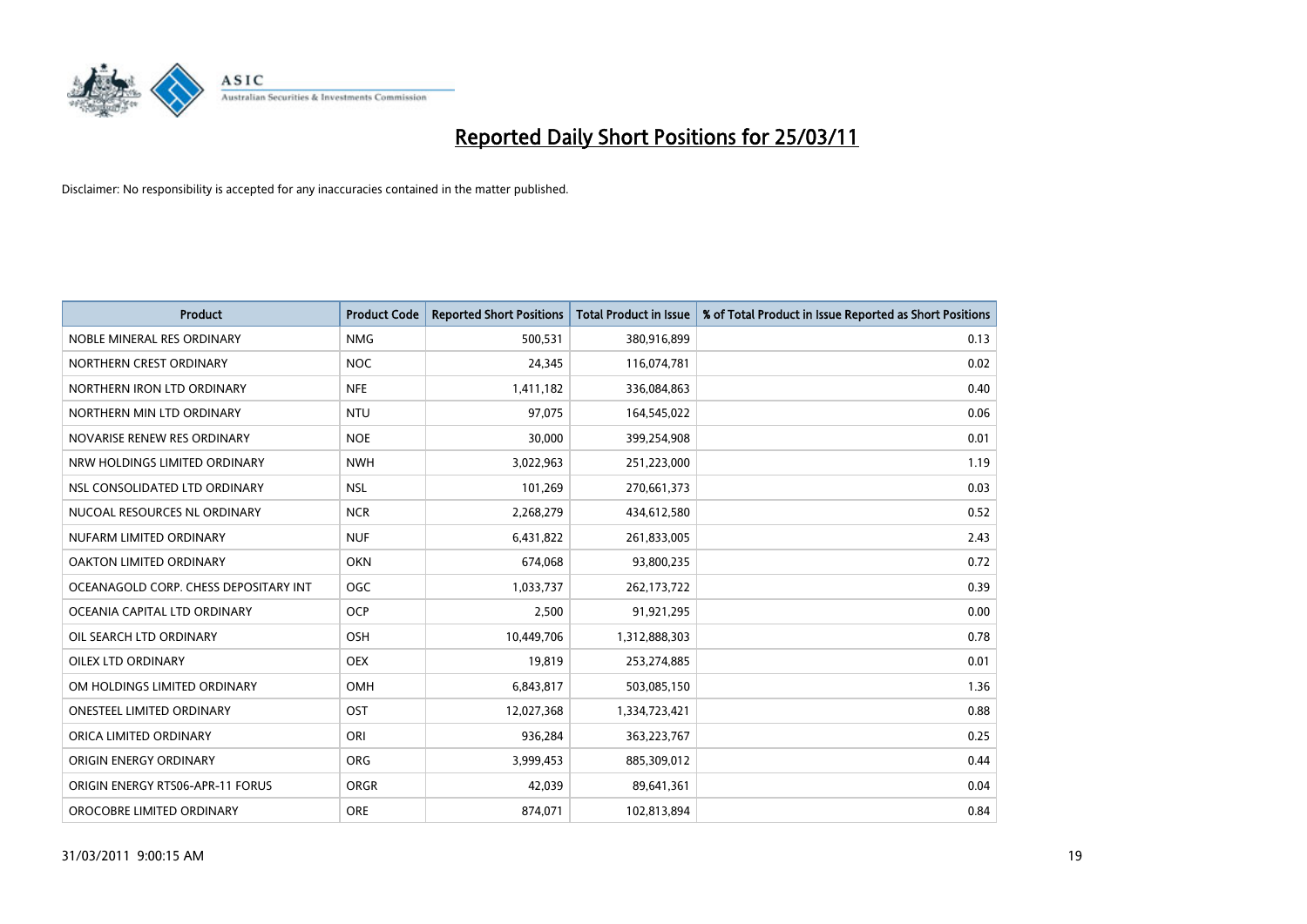

| Product                               | <b>Product Code</b> | <b>Reported Short Positions</b> | <b>Total Product in Issue</b> | % of Total Product in Issue Reported as Short Positions |
|---------------------------------------|---------------------|---------------------------------|-------------------------------|---------------------------------------------------------|
| NOBLE MINERAL RES ORDINARY            | <b>NMG</b>          | 500,531                         | 380,916,899                   | 0.13                                                    |
| NORTHERN CREST ORDINARY               | <b>NOC</b>          | 24,345                          | 116,074,781                   | 0.02                                                    |
| NORTHERN IRON LTD ORDINARY            | <b>NFE</b>          | 1,411,182                       | 336,084,863                   | 0.40                                                    |
| NORTHERN MIN LTD ORDINARY             | <b>NTU</b>          | 97,075                          | 164,545,022                   | 0.06                                                    |
| NOVARISE RENEW RES ORDINARY           | <b>NOE</b>          | 30,000                          | 399,254,908                   | 0.01                                                    |
| NRW HOLDINGS LIMITED ORDINARY         | <b>NWH</b>          | 3,022,963                       | 251,223,000                   | 1.19                                                    |
| NSL CONSOLIDATED LTD ORDINARY         | <b>NSL</b>          | 101,269                         | 270,661,373                   | 0.03                                                    |
| NUCOAL RESOURCES NL ORDINARY          | <b>NCR</b>          | 2,268,279                       | 434,612,580                   | 0.52                                                    |
| NUFARM LIMITED ORDINARY               | <b>NUF</b>          | 6,431,822                       | 261,833,005                   | 2.43                                                    |
| OAKTON LIMITED ORDINARY               | <b>OKN</b>          | 674,068                         | 93,800,235                    | 0.72                                                    |
| OCEANAGOLD CORP. CHESS DEPOSITARY INT | <b>OGC</b>          | 1,033,737                       | 262,173,722                   | 0.39                                                    |
| OCEANIA CAPITAL LTD ORDINARY          | <b>OCP</b>          | 2,500                           | 91,921,295                    | 0.00                                                    |
| OIL SEARCH LTD ORDINARY               | OSH                 | 10,449,706                      | 1,312,888,303                 | 0.78                                                    |
| <b>OILEX LTD ORDINARY</b>             | <b>OEX</b>          | 19,819                          | 253,274,885                   | 0.01                                                    |
| OM HOLDINGS LIMITED ORDINARY          | <b>OMH</b>          | 6,843,817                       | 503,085,150                   | 1.36                                                    |
| <b>ONESTEEL LIMITED ORDINARY</b>      | <b>OST</b>          | 12,027,368                      | 1,334,723,421                 | 0.88                                                    |
| ORICA LIMITED ORDINARY                | ORI                 | 936,284                         | 363,223,767                   | 0.25                                                    |
| ORIGIN ENERGY ORDINARY                | <b>ORG</b>          | 3,999,453                       | 885,309,012                   | 0.44                                                    |
| ORIGIN ENERGY RTS06-APR-11 FORUS      | <b>ORGR</b>         | 42,039                          | 89,641,361                    | 0.04                                                    |
| OROCOBRE LIMITED ORDINARY             | <b>ORE</b>          | 874,071                         | 102,813,894                   | 0.84                                                    |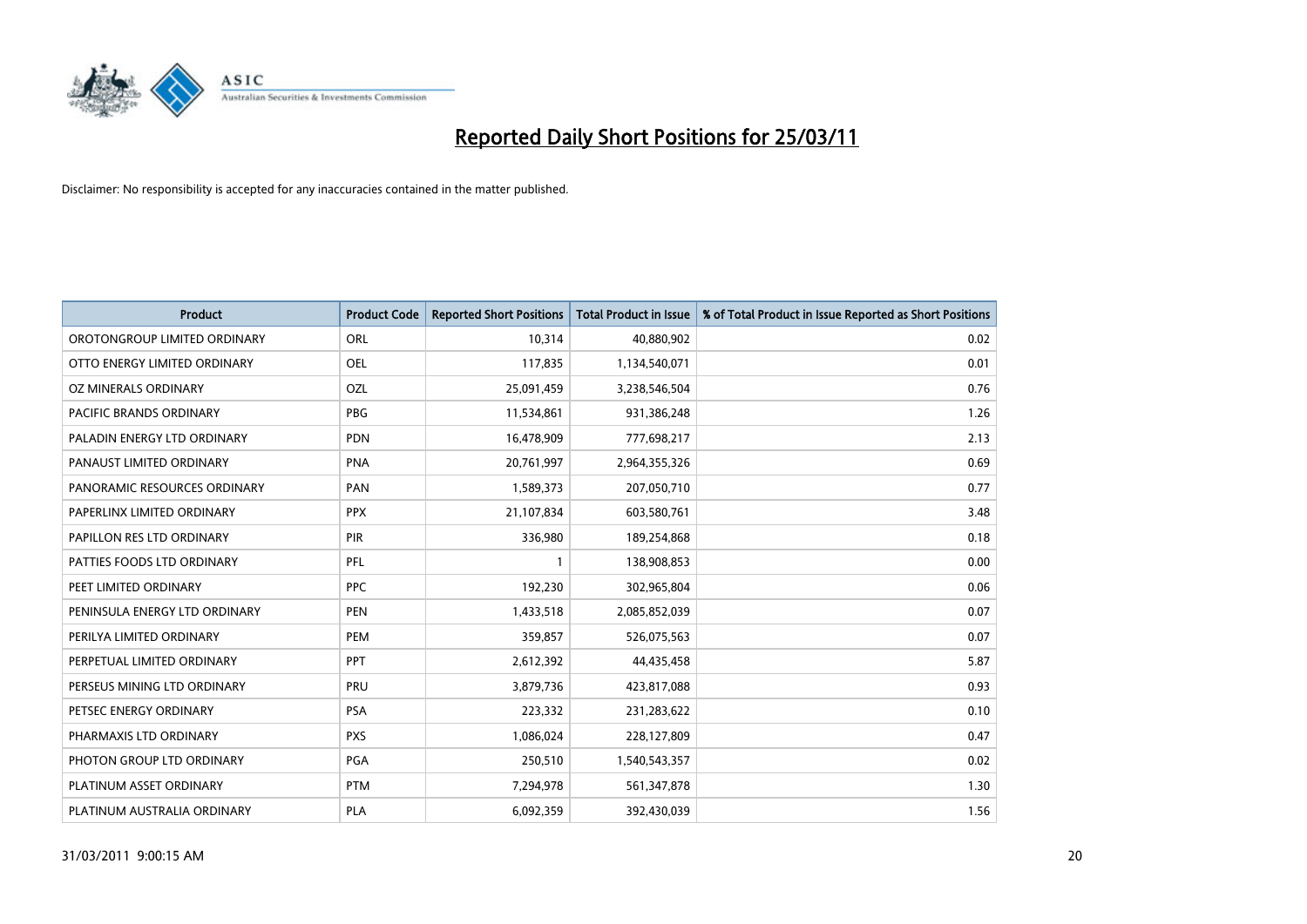

| <b>Product</b>                | <b>Product Code</b> | <b>Reported Short Positions</b> | <b>Total Product in Issue</b> | % of Total Product in Issue Reported as Short Positions |
|-------------------------------|---------------------|---------------------------------|-------------------------------|---------------------------------------------------------|
| OROTONGROUP LIMITED ORDINARY  | <b>ORL</b>          | 10,314                          | 40,880,902                    | 0.02                                                    |
| OTTO ENERGY LIMITED ORDINARY  | <b>OEL</b>          | 117,835                         | 1,134,540,071                 | 0.01                                                    |
| OZ MINERALS ORDINARY          | OZL                 | 25,091,459                      | 3,238,546,504                 | 0.76                                                    |
| PACIFIC BRANDS ORDINARY       | <b>PBG</b>          | 11,534,861                      | 931,386,248                   | 1.26                                                    |
| PALADIN ENERGY LTD ORDINARY   | <b>PDN</b>          | 16,478,909                      | 777,698,217                   | 2.13                                                    |
| PANAUST LIMITED ORDINARY      | <b>PNA</b>          | 20,761,997                      | 2,964,355,326                 | 0.69                                                    |
| PANORAMIC RESOURCES ORDINARY  | PAN                 | 1,589,373                       | 207,050,710                   | 0.77                                                    |
| PAPERLINX LIMITED ORDINARY    | <b>PPX</b>          | 21,107,834                      | 603,580,761                   | 3.48                                                    |
| PAPILLON RES LTD ORDINARY     | <b>PIR</b>          | 336,980                         | 189,254,868                   | 0.18                                                    |
| PATTIES FOODS LTD ORDINARY    | <b>PFL</b>          |                                 | 138,908,853                   | 0.00                                                    |
| PEET LIMITED ORDINARY         | <b>PPC</b>          | 192,230                         | 302,965,804                   | 0.06                                                    |
| PENINSULA ENERGY LTD ORDINARY | PEN                 | 1,433,518                       | 2,085,852,039                 | 0.07                                                    |
| PERILYA LIMITED ORDINARY      | PEM                 | 359,857                         | 526,075,563                   | 0.07                                                    |
| PERPETUAL LIMITED ORDINARY    | PPT                 | 2,612,392                       | 44,435,458                    | 5.87                                                    |
| PERSEUS MINING LTD ORDINARY   | PRU                 | 3,879,736                       | 423,817,088                   | 0.93                                                    |
| PETSEC ENERGY ORDINARY        | <b>PSA</b>          | 223,332                         | 231,283,622                   | 0.10                                                    |
| PHARMAXIS LTD ORDINARY        | <b>PXS</b>          | 1,086,024                       | 228,127,809                   | 0.47                                                    |
| PHOTON GROUP LTD ORDINARY     | PGA                 | 250,510                         | 1,540,543,357                 | 0.02                                                    |
| PLATINUM ASSET ORDINARY       | <b>PTM</b>          | 7,294,978                       | 561,347,878                   | 1.30                                                    |
| PLATINUM AUSTRALIA ORDINARY   | PLA                 | 6,092,359                       | 392,430,039                   | 1.56                                                    |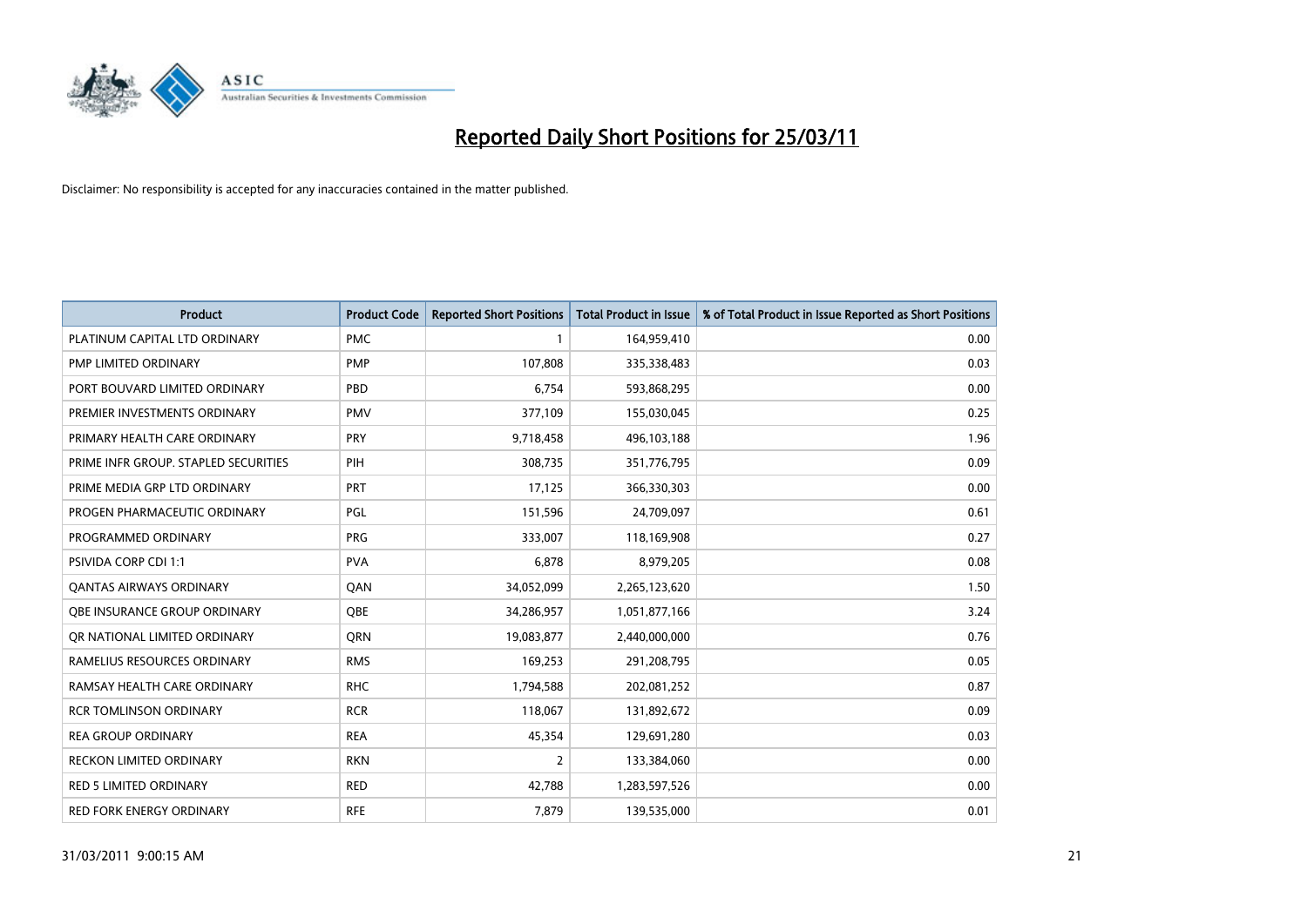

| <b>Product</b>                       | <b>Product Code</b> | <b>Reported Short Positions</b> | <b>Total Product in Issue</b> | % of Total Product in Issue Reported as Short Positions |
|--------------------------------------|---------------------|---------------------------------|-------------------------------|---------------------------------------------------------|
| PLATINUM CAPITAL LTD ORDINARY        | <b>PMC</b>          |                                 | 164,959,410                   | 0.00                                                    |
| PMP LIMITED ORDINARY                 | <b>PMP</b>          | 107,808                         | 335,338,483                   | 0.03                                                    |
| PORT BOUVARD LIMITED ORDINARY        | PBD                 | 6,754                           | 593,868,295                   | 0.00                                                    |
| PREMIER INVESTMENTS ORDINARY         | <b>PMV</b>          | 377,109                         | 155,030,045                   | 0.25                                                    |
| PRIMARY HEALTH CARE ORDINARY         | <b>PRY</b>          | 9,718,458                       | 496,103,188                   | 1.96                                                    |
| PRIME INFR GROUP. STAPLED SECURITIES | PIH                 | 308,735                         | 351,776,795                   | 0.09                                                    |
| PRIME MEDIA GRP LTD ORDINARY         | PRT                 | 17,125                          | 366,330,303                   | 0.00                                                    |
| PROGEN PHARMACEUTIC ORDINARY         | PGL                 | 151,596                         | 24,709,097                    | 0.61                                                    |
| PROGRAMMED ORDINARY                  | <b>PRG</b>          | 333,007                         | 118,169,908                   | 0.27                                                    |
| PSIVIDA CORP CDI 1:1                 | <b>PVA</b>          | 6,878                           | 8,979,205                     | 0.08                                                    |
| <b>QANTAS AIRWAYS ORDINARY</b>       | QAN                 | 34,052,099                      | 2,265,123,620                 | 1.50                                                    |
| <b>OBE INSURANCE GROUP ORDINARY</b>  | <b>OBE</b>          | 34,286,957                      | 1,051,877,166                 | 3.24                                                    |
| OR NATIONAL LIMITED ORDINARY         | <b>ORN</b>          | 19,083,877                      | 2,440,000,000                 | 0.76                                                    |
| RAMELIUS RESOURCES ORDINARY          | <b>RMS</b>          | 169,253                         | 291,208,795                   | 0.05                                                    |
| RAMSAY HEALTH CARE ORDINARY          | <b>RHC</b>          | 1,794,588                       | 202,081,252                   | 0.87                                                    |
| <b>RCR TOMLINSON ORDINARY</b>        | <b>RCR</b>          | 118,067                         | 131,892,672                   | 0.09                                                    |
| <b>REA GROUP ORDINARY</b>            | <b>REA</b>          | 45,354                          | 129,691,280                   | 0.03                                                    |
| RECKON LIMITED ORDINARY              | <b>RKN</b>          | 2                               | 133,384,060                   | 0.00                                                    |
| <b>RED 5 LIMITED ORDINARY</b>        | <b>RED</b>          | 42,788                          | 1,283,597,526                 | 0.00                                                    |
| RED FORK ENERGY ORDINARY             | <b>RFE</b>          | 7,879                           | 139,535,000                   | 0.01                                                    |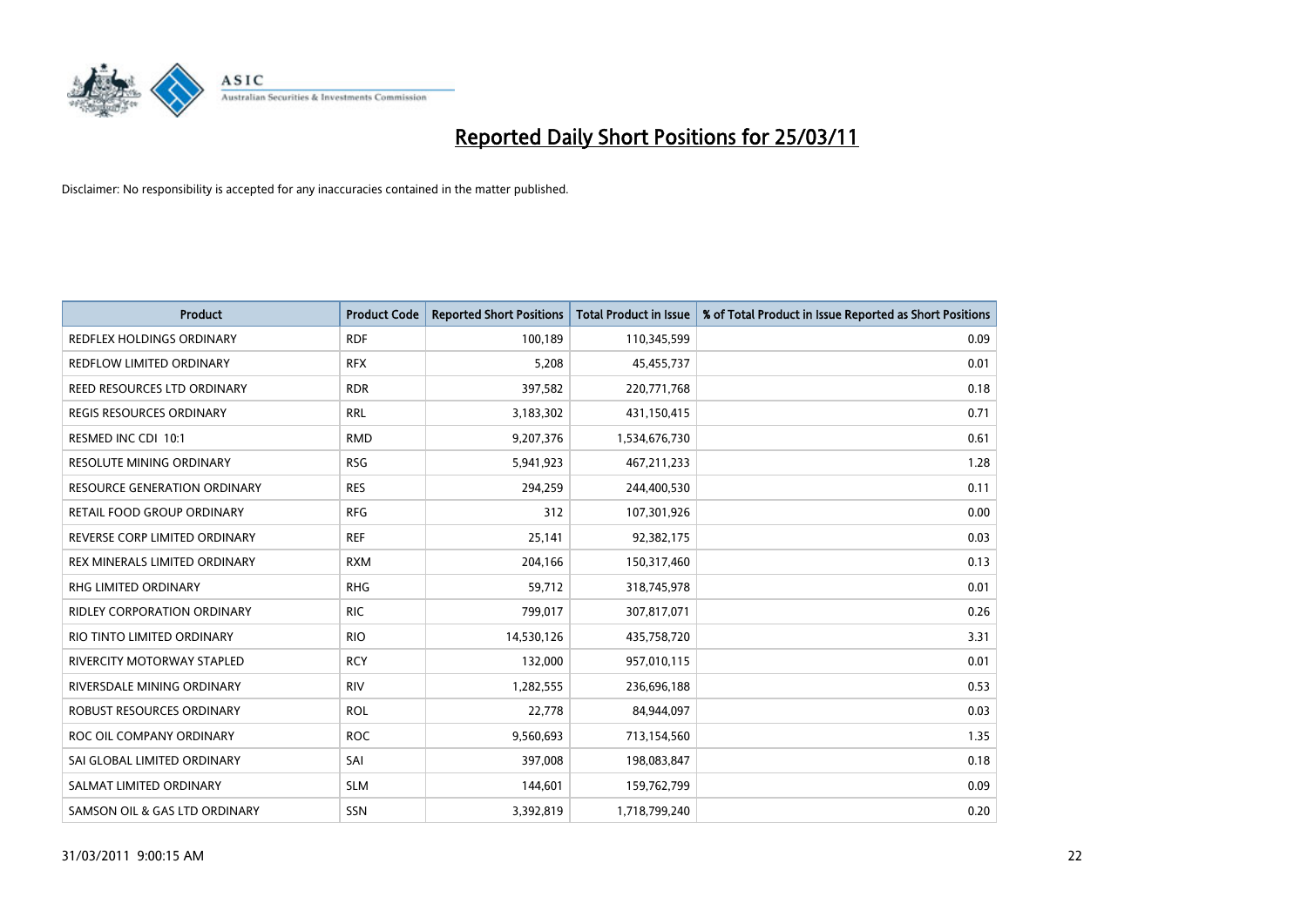

| <b>Product</b>                      | <b>Product Code</b> | <b>Reported Short Positions</b> | <b>Total Product in Issue</b> | % of Total Product in Issue Reported as Short Positions |
|-------------------------------------|---------------------|---------------------------------|-------------------------------|---------------------------------------------------------|
| REDFLEX HOLDINGS ORDINARY           | <b>RDF</b>          | 100,189                         | 110,345,599                   | 0.09                                                    |
| <b>REDFLOW LIMITED ORDINARY</b>     | <b>RFX</b>          | 5,208                           | 45,455,737                    | 0.01                                                    |
| REED RESOURCES LTD ORDINARY         | <b>RDR</b>          | 397,582                         | 220,771,768                   | 0.18                                                    |
| REGIS RESOURCES ORDINARY            | <b>RRL</b>          | 3,183,302                       | 431,150,415                   | 0.71                                                    |
| RESMED INC CDI 10:1                 | <b>RMD</b>          | 9,207,376                       | 1,534,676,730                 | 0.61                                                    |
| <b>RESOLUTE MINING ORDINARY</b>     | <b>RSG</b>          | 5,941,923                       | 467,211,233                   | 1.28                                                    |
| <b>RESOURCE GENERATION ORDINARY</b> | <b>RES</b>          | 294,259                         | 244,400,530                   | 0.11                                                    |
| RETAIL FOOD GROUP ORDINARY          | <b>RFG</b>          | 312                             | 107,301,926                   | 0.00                                                    |
| REVERSE CORP LIMITED ORDINARY       | <b>REF</b>          | 25,141                          | 92,382,175                    | 0.03                                                    |
| REX MINERALS LIMITED ORDINARY       | <b>RXM</b>          | 204,166                         | 150,317,460                   | 0.13                                                    |
| RHG LIMITED ORDINARY                | <b>RHG</b>          | 59,712                          | 318,745,978                   | 0.01                                                    |
| <b>RIDLEY CORPORATION ORDINARY</b>  | <b>RIC</b>          | 799,017                         | 307,817,071                   | 0.26                                                    |
| RIO TINTO LIMITED ORDINARY          | <b>RIO</b>          | 14,530,126                      | 435,758,720                   | 3.31                                                    |
| <b>RIVERCITY MOTORWAY STAPLED</b>   | <b>RCY</b>          | 132,000                         | 957,010,115                   | 0.01                                                    |
| RIVERSDALE MINING ORDINARY          | <b>RIV</b>          | 1,282,555                       | 236,696,188                   | 0.53                                                    |
| ROBUST RESOURCES ORDINARY           | <b>ROL</b>          | 22,778                          | 84,944,097                    | 0.03                                                    |
| ROC OIL COMPANY ORDINARY            | <b>ROC</b>          | 9,560,693                       | 713,154,560                   | 1.35                                                    |
| SAI GLOBAL LIMITED ORDINARY         | SAI                 | 397,008                         | 198,083,847                   | 0.18                                                    |
| SALMAT LIMITED ORDINARY             | <b>SLM</b>          | 144,601                         | 159,762,799                   | 0.09                                                    |
| SAMSON OIL & GAS LTD ORDINARY       | SSN                 | 3,392,819                       | 1,718,799,240                 | 0.20                                                    |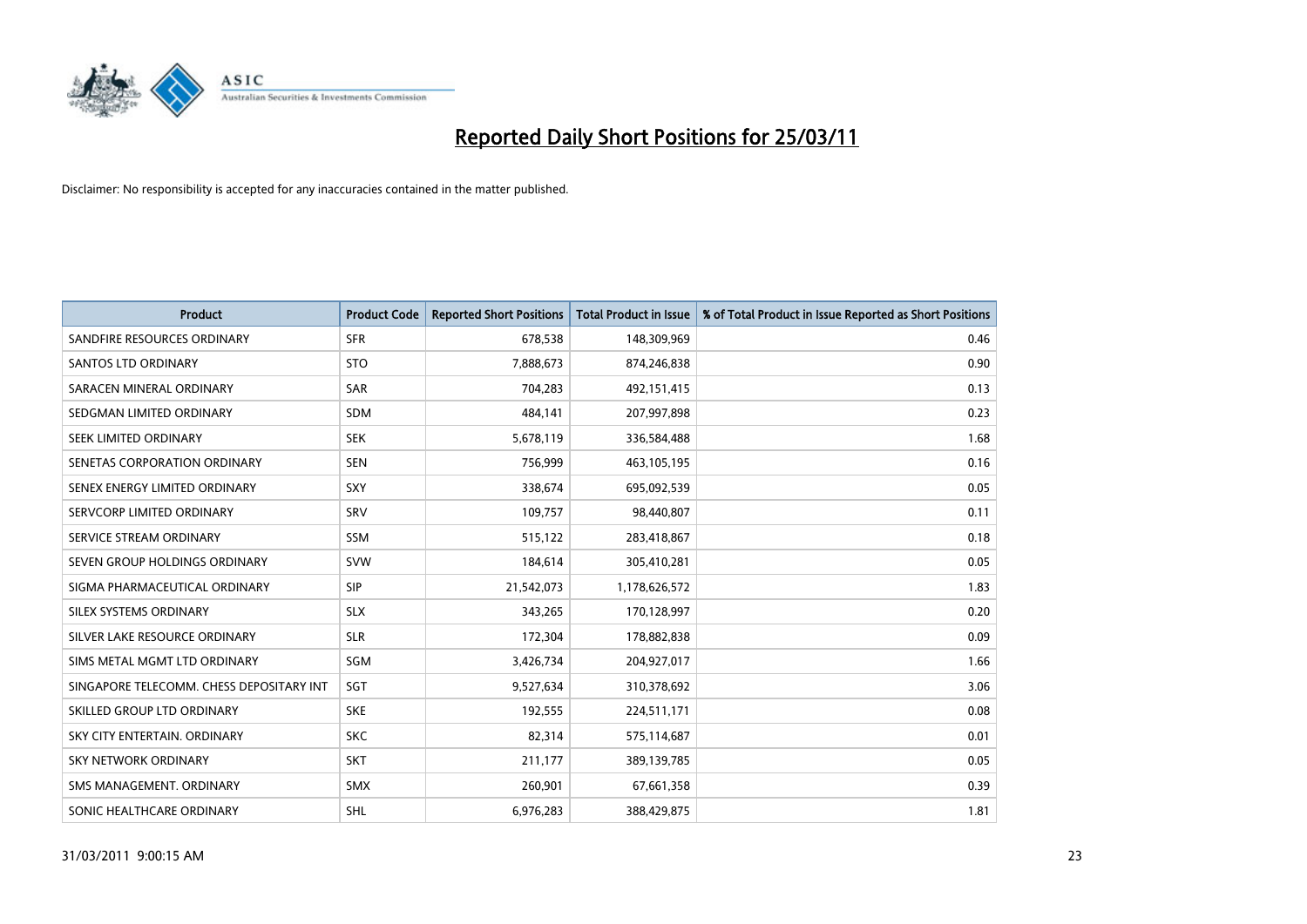

| <b>Product</b>                           | <b>Product Code</b> | <b>Reported Short Positions</b> | Total Product in Issue | % of Total Product in Issue Reported as Short Positions |
|------------------------------------------|---------------------|---------------------------------|------------------------|---------------------------------------------------------|
| SANDFIRE RESOURCES ORDINARY              | <b>SFR</b>          | 678,538                         | 148,309,969            | 0.46                                                    |
| SANTOS LTD ORDINARY                      | <b>STO</b>          | 7,888,673                       | 874,246,838            | 0.90                                                    |
| SARACEN MINERAL ORDINARY                 | <b>SAR</b>          | 704,283                         | 492,151,415            | 0.13                                                    |
| SEDGMAN LIMITED ORDINARY                 | <b>SDM</b>          | 484,141                         | 207,997,898            | 0.23                                                    |
| SEEK LIMITED ORDINARY                    | <b>SEK</b>          | 5,678,119                       | 336,584,488            | 1.68                                                    |
| SENETAS CORPORATION ORDINARY             | <b>SEN</b>          | 756,999                         | 463,105,195            | 0.16                                                    |
| SENEX ENERGY LIMITED ORDINARY            | SXY                 | 338,674                         | 695,092,539            | 0.05                                                    |
| SERVCORP LIMITED ORDINARY                | SRV                 | 109,757                         | 98,440,807             | 0.11                                                    |
| SERVICE STREAM ORDINARY                  | <b>SSM</b>          | 515,122                         | 283,418,867            | 0.18                                                    |
| SEVEN GROUP HOLDINGS ORDINARY            | <b>SVW</b>          | 184,614                         | 305,410,281            | 0.05                                                    |
| SIGMA PHARMACEUTICAL ORDINARY            | <b>SIP</b>          | 21,542,073                      | 1,178,626,572          | 1.83                                                    |
| SILEX SYSTEMS ORDINARY                   | <b>SLX</b>          | 343,265                         | 170,128,997            | 0.20                                                    |
| SILVER LAKE RESOURCE ORDINARY            | <b>SLR</b>          | 172,304                         | 178,882,838            | 0.09                                                    |
| SIMS METAL MGMT LTD ORDINARY             | SGM                 | 3,426,734                       | 204,927,017            | 1.66                                                    |
| SINGAPORE TELECOMM. CHESS DEPOSITARY INT | SGT                 | 9,527,634                       | 310,378,692            | 3.06                                                    |
| SKILLED GROUP LTD ORDINARY               | <b>SKE</b>          | 192,555                         | 224,511,171            | 0.08                                                    |
| SKY CITY ENTERTAIN. ORDINARY             | <b>SKC</b>          | 82,314                          | 575,114,687            | 0.01                                                    |
| SKY NETWORK ORDINARY                     | <b>SKT</b>          | 211,177                         | 389,139,785            | 0.05                                                    |
| SMS MANAGEMENT, ORDINARY                 | <b>SMX</b>          | 260,901                         | 67,661,358             | 0.39                                                    |
| SONIC HEALTHCARE ORDINARY                | SHL                 | 6,976,283                       | 388,429,875            | 1.81                                                    |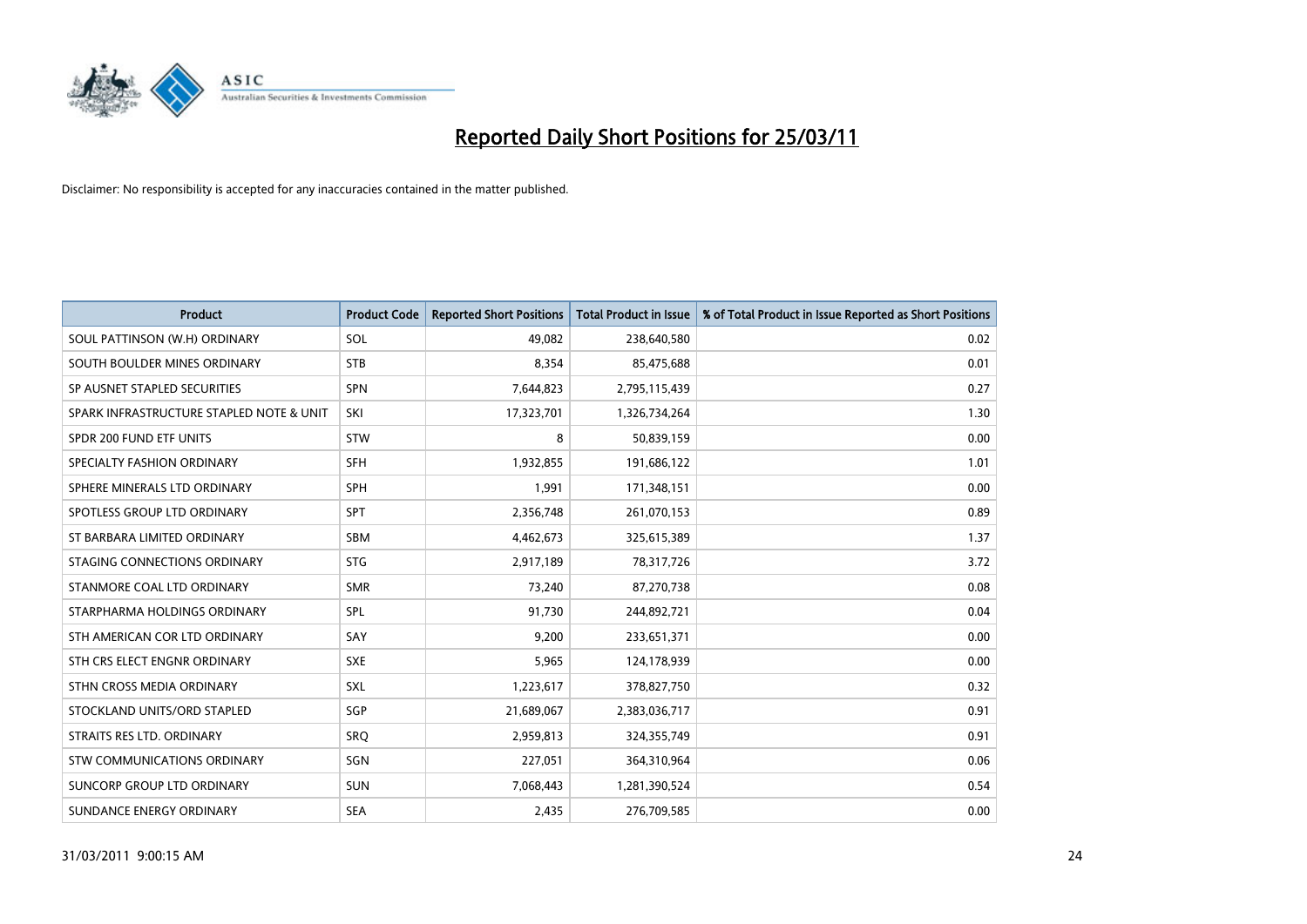

| <b>Product</b>                           | <b>Product Code</b> | <b>Reported Short Positions</b> | <b>Total Product in Issue</b> | % of Total Product in Issue Reported as Short Positions |
|------------------------------------------|---------------------|---------------------------------|-------------------------------|---------------------------------------------------------|
| SOUL PATTINSON (W.H) ORDINARY            | SOL                 | 49,082                          | 238,640,580                   | 0.02                                                    |
| SOUTH BOULDER MINES ORDINARY             | <b>STB</b>          | 8,354                           | 85,475,688                    | 0.01                                                    |
| SP AUSNET STAPLED SECURITIES             | SPN                 | 7,644,823                       | 2,795,115,439                 | 0.27                                                    |
| SPARK INFRASTRUCTURE STAPLED NOTE & UNIT | SKI                 | 17,323,701                      | 1,326,734,264                 | 1.30                                                    |
| SPDR 200 FUND ETF UNITS                  | <b>STW</b>          | 8                               | 50,839,159                    | 0.00                                                    |
| SPECIALTY FASHION ORDINARY               | <b>SFH</b>          | 1,932,855                       | 191,686,122                   | 1.01                                                    |
| SPHERE MINERALS LTD ORDINARY             | <b>SPH</b>          | 1,991                           | 171,348,151                   | 0.00                                                    |
| SPOTLESS GROUP LTD ORDINARY              | <b>SPT</b>          | 2,356,748                       | 261,070,153                   | 0.89                                                    |
| ST BARBARA LIMITED ORDINARY              | <b>SBM</b>          | 4,462,673                       | 325,615,389                   | 1.37                                                    |
| STAGING CONNECTIONS ORDINARY             | <b>STG</b>          | 2,917,189                       | 78,317,726                    | 3.72                                                    |
| STANMORE COAL LTD ORDINARY               | <b>SMR</b>          | 73,240                          | 87,270,738                    | 0.08                                                    |
| STARPHARMA HOLDINGS ORDINARY             | SPL                 | 91,730                          | 244,892,721                   | 0.04                                                    |
| STH AMERICAN COR LTD ORDINARY            | SAY                 | 9,200                           | 233,651,371                   | 0.00                                                    |
| STH CRS ELECT ENGNR ORDINARY             | <b>SXE</b>          | 5,965                           | 124,178,939                   | 0.00                                                    |
| STHN CROSS MEDIA ORDINARY                | <b>SXL</b>          | 1,223,617                       | 378,827,750                   | 0.32                                                    |
| STOCKLAND UNITS/ORD STAPLED              | SGP                 | 21,689,067                      | 2,383,036,717                 | 0.91                                                    |
| STRAITS RES LTD. ORDINARY                | SRQ                 | 2,959,813                       | 324,355,749                   | 0.91                                                    |
| STW COMMUNICATIONS ORDINARY              | SGN                 | 227,051                         | 364,310,964                   | 0.06                                                    |
| SUNCORP GROUP LTD ORDINARY               | <b>SUN</b>          | 7,068,443                       | 1,281,390,524                 | 0.54                                                    |
| SUNDANCE ENERGY ORDINARY                 | <b>SEA</b>          | 2,435                           | 276,709,585                   | 0.00                                                    |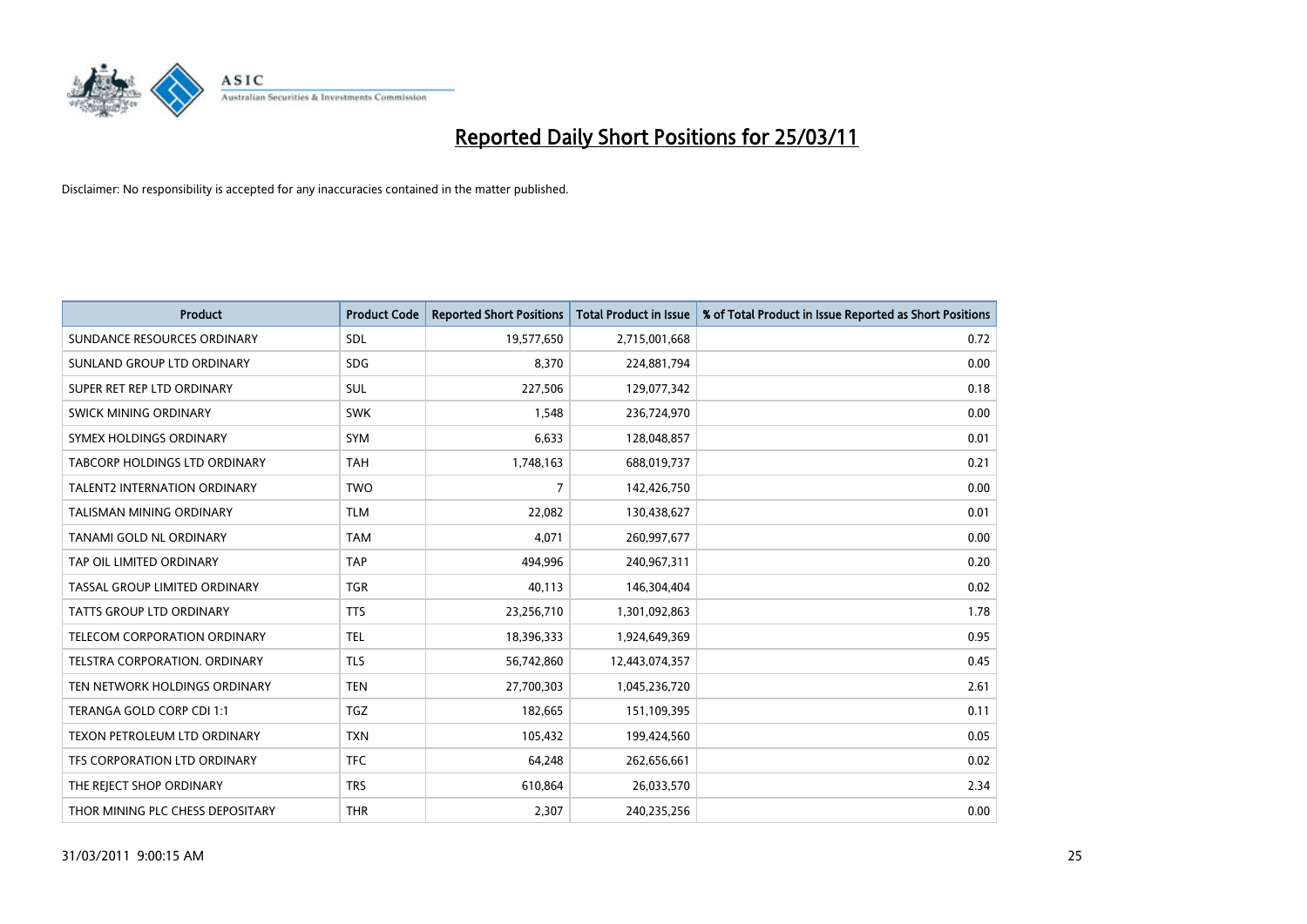

| Product                              | <b>Product Code</b> | <b>Reported Short Positions</b> | <b>Total Product in Issue</b> | % of Total Product in Issue Reported as Short Positions |
|--------------------------------------|---------------------|---------------------------------|-------------------------------|---------------------------------------------------------|
| SUNDANCE RESOURCES ORDINARY          | SDL                 | 19,577,650                      | 2,715,001,668                 | 0.72                                                    |
| SUNLAND GROUP LTD ORDINARY           | <b>SDG</b>          | 8,370                           | 224,881,794                   | 0.00                                                    |
| SUPER RET REP LTD ORDINARY           | <b>SUL</b>          | 227,506                         | 129,077,342                   | 0.18                                                    |
| SWICK MINING ORDINARY                | <b>SWK</b>          | 1,548                           | 236,724,970                   | 0.00                                                    |
| SYMEX HOLDINGS ORDINARY              | <b>SYM</b>          | 6,633                           | 128,048,857                   | 0.01                                                    |
| <b>TABCORP HOLDINGS LTD ORDINARY</b> | <b>TAH</b>          | 1,748,163                       | 688,019,737                   | 0.21                                                    |
| <b>TALENT2 INTERNATION ORDINARY</b>  | <b>TWO</b>          | 7                               | 142,426,750                   | 0.00                                                    |
| TALISMAN MINING ORDINARY             | <b>TLM</b>          | 22,082                          | 130,438,627                   | 0.01                                                    |
| TANAMI GOLD NL ORDINARY              | <b>TAM</b>          | 4,071                           | 260,997,677                   | 0.00                                                    |
| TAP OIL LIMITED ORDINARY             | <b>TAP</b>          | 494,996                         | 240,967,311                   | 0.20                                                    |
| TASSAL GROUP LIMITED ORDINARY        | <b>TGR</b>          | 40,113                          | 146,304,404                   | 0.02                                                    |
| TATTS GROUP LTD ORDINARY             | <b>TTS</b>          | 23,256,710                      | 1,301,092,863                 | 1.78                                                    |
| <b>TELECOM CORPORATION ORDINARY</b>  | <b>TEL</b>          | 18,396,333                      | 1,924,649,369                 | 0.95                                                    |
| <b>TELSTRA CORPORATION, ORDINARY</b> | <b>TLS</b>          | 56,742,860                      | 12,443,074,357                | 0.45                                                    |
| TEN NETWORK HOLDINGS ORDINARY        | <b>TEN</b>          | 27,700,303                      | 1,045,236,720                 | 2.61                                                    |
| TERANGA GOLD CORP CDI 1:1            | <b>TGZ</b>          | 182,665                         | 151,109,395                   | 0.11                                                    |
| TEXON PETROLEUM LTD ORDINARY         | <b>TXN</b>          | 105,432                         | 199,424,560                   | 0.05                                                    |
| TFS CORPORATION LTD ORDINARY         | <b>TFC</b>          | 64,248                          | 262,656,661                   | 0.02                                                    |
| THE REJECT SHOP ORDINARY             | <b>TRS</b>          | 610,864                         | 26,033,570                    | 2.34                                                    |
| THOR MINING PLC CHESS DEPOSITARY     | <b>THR</b>          | 2,307                           | 240,235,256                   | 0.00                                                    |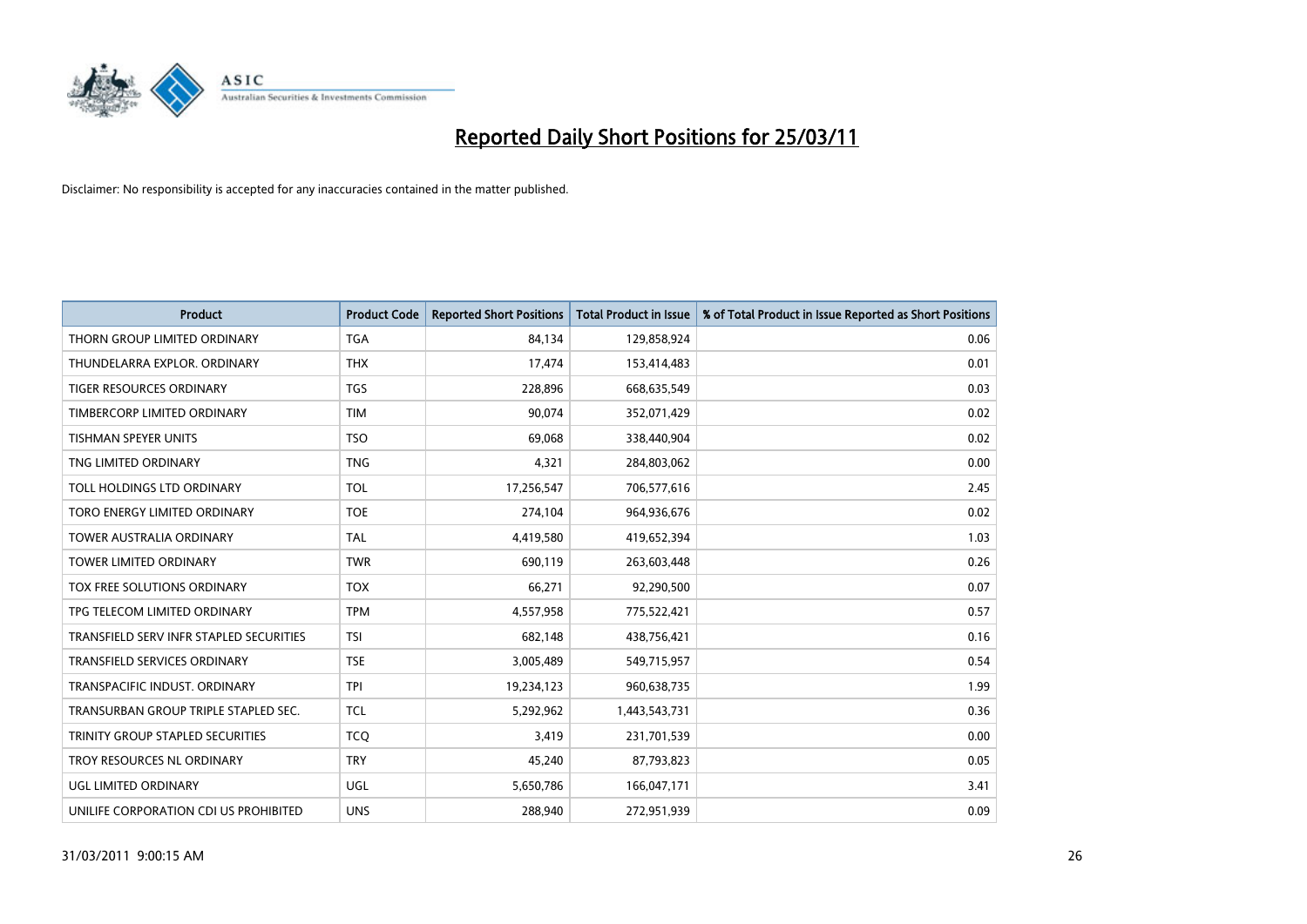

| <b>Product</b>                          | <b>Product Code</b> | <b>Reported Short Positions</b> | <b>Total Product in Issue</b> | % of Total Product in Issue Reported as Short Positions |
|-----------------------------------------|---------------------|---------------------------------|-------------------------------|---------------------------------------------------------|
| THORN GROUP LIMITED ORDINARY            | <b>TGA</b>          | 84,134                          | 129,858,924                   | 0.06                                                    |
| THUNDELARRA EXPLOR. ORDINARY            | <b>THX</b>          | 17,474                          | 153,414,483                   | 0.01                                                    |
| TIGER RESOURCES ORDINARY                | <b>TGS</b>          | 228,896                         | 668,635,549                   | 0.03                                                    |
| TIMBERCORP LIMITED ORDINARY             | <b>TIM</b>          | 90,074                          | 352,071,429                   | 0.02                                                    |
| <b>TISHMAN SPEYER UNITS</b>             | <b>TSO</b>          | 69,068                          | 338,440,904                   | 0.02                                                    |
| TNG LIMITED ORDINARY                    | <b>TNG</b>          | 4,321                           | 284,803,062                   | 0.00                                                    |
| TOLL HOLDINGS LTD ORDINARY              | <b>TOL</b>          | 17,256,547                      | 706,577,616                   | 2.45                                                    |
| TORO ENERGY LIMITED ORDINARY            | <b>TOE</b>          | 274,104                         | 964,936,676                   | 0.02                                                    |
| TOWER AUSTRALIA ORDINARY                | <b>TAL</b>          | 4,419,580                       | 419,652,394                   | 1.03                                                    |
| <b>TOWER LIMITED ORDINARY</b>           | <b>TWR</b>          | 690,119                         | 263,603,448                   | 0.26                                                    |
| TOX FREE SOLUTIONS ORDINARY             | <b>TOX</b>          | 66,271                          | 92,290,500                    | 0.07                                                    |
| TPG TELECOM LIMITED ORDINARY            | <b>TPM</b>          | 4,557,958                       | 775,522,421                   | 0.57                                                    |
| TRANSFIELD SERV INFR STAPLED SECURITIES | <b>TSI</b>          | 682,148                         | 438,756,421                   | 0.16                                                    |
| <b>TRANSFIELD SERVICES ORDINARY</b>     | <b>TSE</b>          | 3,005,489                       | 549,715,957                   | 0.54                                                    |
| TRANSPACIFIC INDUST, ORDINARY           | <b>TPI</b>          | 19,234,123                      | 960,638,735                   | 1.99                                                    |
| TRANSURBAN GROUP TRIPLE STAPLED SEC.    | <b>TCL</b>          | 5,292,962                       | 1,443,543,731                 | 0.36                                                    |
| TRINITY GROUP STAPLED SECURITIES        | <b>TCQ</b>          | 3,419                           | 231,701,539                   | 0.00                                                    |
| TROY RESOURCES NL ORDINARY              | <b>TRY</b>          | 45,240                          | 87,793,823                    | 0.05                                                    |
| <b>UGL LIMITED ORDINARY</b>             | <b>UGL</b>          | 5,650,786                       | 166,047,171                   | 3.41                                                    |
| UNILIFE CORPORATION CDI US PROHIBITED   | <b>UNS</b>          | 288.940                         | 272,951,939                   | 0.09                                                    |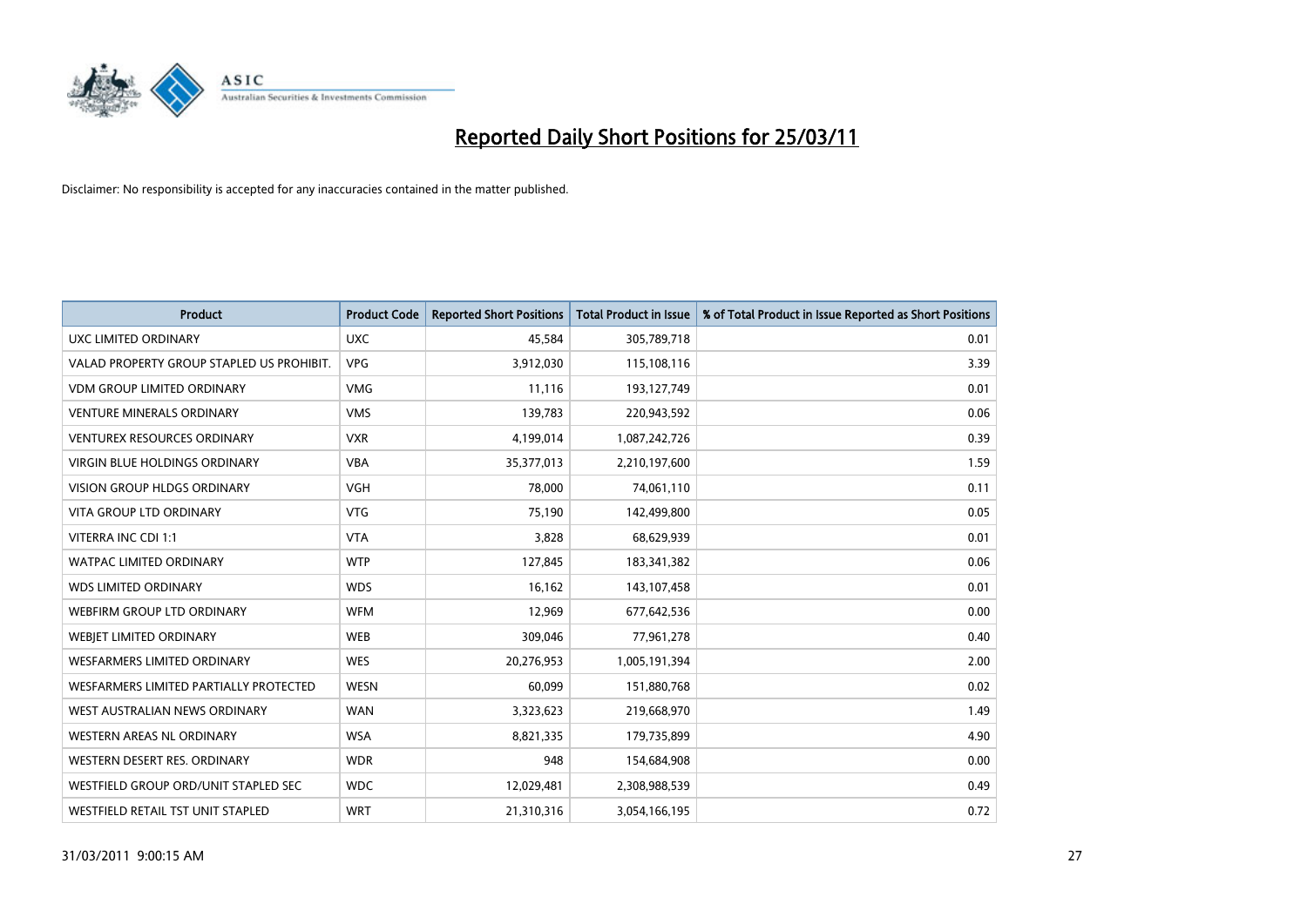

| Product                                   | <b>Product Code</b> | <b>Reported Short Positions</b> | Total Product in Issue | % of Total Product in Issue Reported as Short Positions |
|-------------------------------------------|---------------------|---------------------------------|------------------------|---------------------------------------------------------|
| UXC LIMITED ORDINARY                      | <b>UXC</b>          | 45,584                          | 305,789,718            | 0.01                                                    |
| VALAD PROPERTY GROUP STAPLED US PROHIBIT. | <b>VPG</b>          | 3,912,030                       | 115,108,116            | 3.39                                                    |
| <b>VDM GROUP LIMITED ORDINARY</b>         | <b>VMG</b>          | 11,116                          | 193,127,749            | 0.01                                                    |
| <b>VENTURE MINERALS ORDINARY</b>          | <b>VMS</b>          | 139,783                         | 220,943,592            | 0.06                                                    |
| <b>VENTUREX RESOURCES ORDINARY</b>        | <b>VXR</b>          | 4,199,014                       | 1,087,242,726          | 0.39                                                    |
| <b>VIRGIN BLUE HOLDINGS ORDINARY</b>      | <b>VBA</b>          | 35,377,013                      | 2,210,197,600          | 1.59                                                    |
| <b>VISION GROUP HLDGS ORDINARY</b>        | <b>VGH</b>          | 78,000                          | 74,061,110             | 0.11                                                    |
| <b>VITA GROUP LTD ORDINARY</b>            | <b>VTG</b>          | 75,190                          | 142,499,800            | 0.05                                                    |
| VITERRA INC CDI 1:1                       | <b>VTA</b>          | 3,828                           | 68,629,939             | 0.01                                                    |
| <b>WATPAC LIMITED ORDINARY</b>            | <b>WTP</b>          | 127,845                         | 183,341,382            | 0.06                                                    |
| <b>WDS LIMITED ORDINARY</b>               | <b>WDS</b>          | 16,162                          | 143,107,458            | 0.01                                                    |
| WEBFIRM GROUP LTD ORDINARY                | <b>WFM</b>          | 12,969                          | 677,642,536            | 0.00                                                    |
| WEBJET LIMITED ORDINARY                   | <b>WEB</b>          | 309,046                         | 77,961,278             | 0.40                                                    |
| <b>WESFARMERS LIMITED ORDINARY</b>        | <b>WES</b>          | 20,276,953                      | 1,005,191,394          | 2.00                                                    |
| WESFARMERS LIMITED PARTIALLY PROTECTED    | <b>WESN</b>         | 60,099                          | 151,880,768            | 0.02                                                    |
| WEST AUSTRALIAN NEWS ORDINARY             | <b>WAN</b>          | 3,323,623                       | 219,668,970            | 1.49                                                    |
| WESTERN AREAS NL ORDINARY                 | <b>WSA</b>          | 8,821,335                       | 179,735,899            | 4.90                                                    |
| WESTERN DESERT RES. ORDINARY              | <b>WDR</b>          | 948                             | 154,684,908            | 0.00                                                    |
| WESTFIELD GROUP ORD/UNIT STAPLED SEC      | <b>WDC</b>          | 12,029,481                      | 2,308,988,539          | 0.49                                                    |
| WESTFIELD RETAIL TST UNIT STAPLED         | <b>WRT</b>          | 21,310,316                      | 3,054,166,195          | 0.72                                                    |